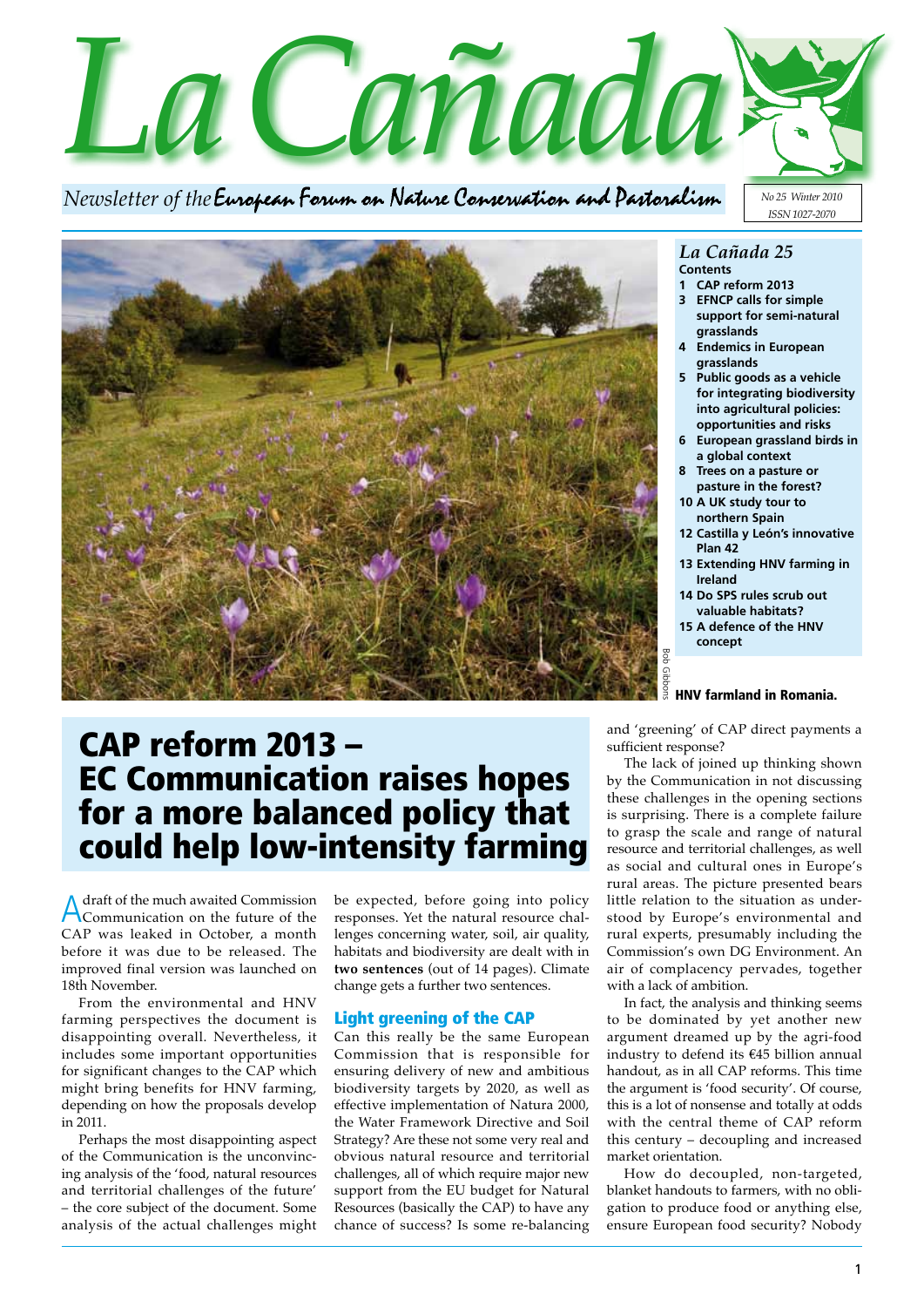

*Newsletter of the* 



### *La Cañada 25* **Contents**

- **1 CAP reform 2013**
- **3 EFNCP calls for simple support for semi-natural grasslands**

*No 25 Winter 2010 ISSN 1027-2070*

- **4 Endemics in European grasslands**
- **5 Public goods as a vehicle for integrating biodiversity into agricultural policies: opportunities and risks**
- **6 European grassland birds in a global context**
- **8 Trees on a pasture or pasture in the forest?**
- **10 A UK study tour to northern Spain**
- **12 Castilla y León's innovative Plan 42**
- **13 Extending HNV farming in Ireland**
- **14 Do SPS rules scrub out valuable habitats?**
- **15 A defence of the HNV concept**

## Bob Gibbons Gibbonn HNV farmland in Romania.

# CAP reform 2013 – EC Communication raises hopes for a more balanced policy that could help low-intensity farming

Adraft of the much awaited Commission Communication on the future of the CAP was leaked in October, a month before it was due to be released. The improved final version was launched on 18th November.

From the environmental and HNV farming perspectives the document is disappointing overall. Nevertheless, it includes some important opportunities for significant changes to the CAP which might bring benefits for HNV farming, depending on how the proposals develop in 2011.

Perhaps the most disappointing aspect of the Communication is the unconvincing analysis of the 'food, natural resources and territorial challenges of the future' – the core subject of the document. Some analysis of the actual challenges might

be expected, before going into policy responses. Yet the natural resource challenges concerning water, soil, air quality, habitats and biodiversity are dealt with in **two sentences** (out of 14 pages). Climate change gets a further two sentences.

## Light greening of the CAP

Can this really be the same European Commission that is responsible for ensuring delivery of new and ambitious biodiversity targets by 2020, as well as effective implementation of Natura 2000, the Water Framework Directive and Soil Strategy? Are these not some very real and obvious natural resource and territorial challenges, all of which require major new support from the EU budget for Natural Resources (basically the CAP) to have any chance of success? Is some re-balancing and 'greening' of CAP direct payments a sufficient response?

The lack of joined up thinking shown by the Communication in not discussing these challenges in the opening sections is surprising. There is a complete failure to grasp the scale and range of natural resource and territorial challenges, as well as social and cultural ones in Europe's rural areas. The picture presented bears little relation to the situation as understood by Europe's environmental and rural experts, presumably including the Commission's own DG Environment. An air of complacency pervades, together with a lack of ambition.

In fact, the analysis and thinking seems to be dominated by yet another new argument dreamed up by the agri-food industry to defend its  $E45$  billion annual handout, as in all CAP reforms. This time the argument is 'food security'. Of course, this is a lot of nonsense and totally at odds with the central theme of CAP reform this century – decoupling and increased market orientation.

How do decoupled, non-targeted, blanket handouts to farmers, with no obligation to produce food or anything else, ensure European food security? Nobody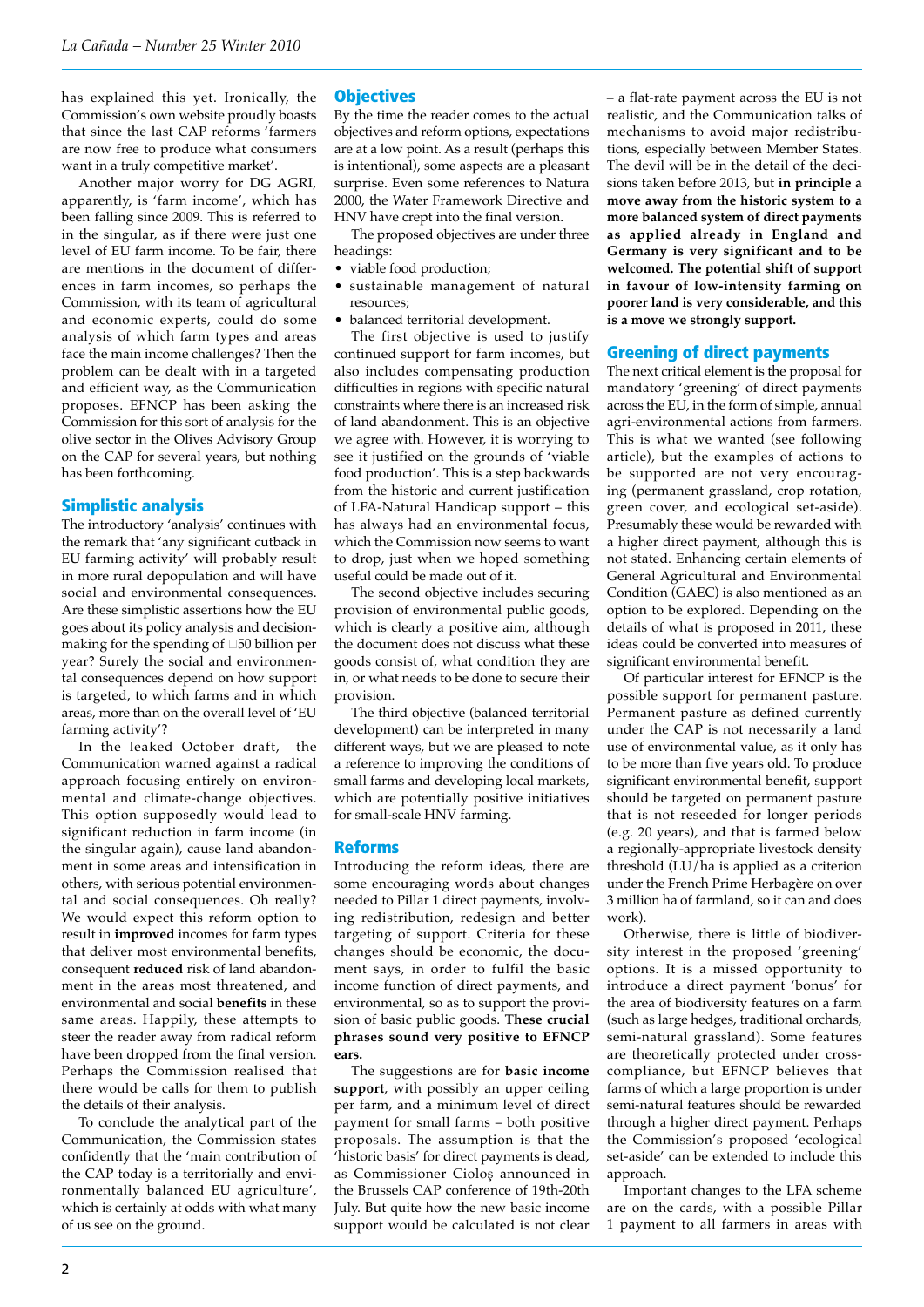has explained this yet. Ironically, the Commission's own website proudly boasts that since the last CAP reforms 'farmers are now free to produce what consumers want in a truly competitive market'.

Another major worry for DG AGRI, apparently, is 'farm income', which has been falling since 2009. This is referred to in the singular, as if there were just one level of EU farm income. To be fair, there are mentions in the document of differences in farm incomes, so perhaps the Commission, with its team of agricultural and economic experts, could do some analysis of which farm types and areas face the main income challenges? Then the problem can be dealt with in a targeted and efficient way, as the Communication proposes. EFNCP has been asking the Commission for this sort of analysis for the olive sector in the Olives Advisory Group on the CAP for several years, but nothing has been forthcoming.

### Simplistic analysis

The introductory 'analysis' continues with the remark that 'any significant cutback in EU farming activity' will probably result in more rural depopulation and will have social and environmental consequences. Are these simplistic assertions how the EU goes about its policy analysis and decisionmaking for the spending of  $\square 50$  billion per year? Surely the social and environmental consequences depend on how support is targeted, to which farms and in which areas, more than on the overall level of 'EU farming activity'?

In the leaked October draft, the Communication warned against a radical approach focusing entirely on environmental and climate-change objectives. This option supposedly would lead to significant reduction in farm income (in the singular again), cause land abandonment in some areas and intensification in others, with serious potential environmental and social consequences. Oh really? We would expect this reform option to result in **improved** incomes for farm types that deliver most environmental benefits, consequent **reduced** risk of land abandonment in the areas most threatened, and environmental and social **benefits** in these same areas. Happily, these attempts to steer the reader away from radical reform have been dropped from the final version. Perhaps the Commission realised that there would be calls for them to publish the details of their analysis.

To conclude the analytical part of the Communication, the Commission states confidently that the 'main contribution of the CAP today is a territorially and environmentally balanced EU agriculture', which is certainly at odds with what many of us see on the ground.

### **Objectives**

By the time the reader comes to the actual objectives and reform options, expectations are at a low point. As a result (perhaps this is intentional), some aspects are a pleasant surprise. Even some references to Natura 2000, the Water Framework Directive and HNV have crept into the final version.

The proposed objectives are under three headings:

- viable food production;
- sustainable management of natural resources;
- balanced territorial development.

The first objective is used to justify continued support for farm incomes, but also includes compensating production difficulties in regions with specific natural constraints where there is an increased risk of land abandonment. This is an objective we agree with. However, it is worrying to see it justified on the grounds of 'viable food production'. This is a step backwards from the historic and current justification of LFA-Natural Handicap support – this has always had an environmental focus, which the Commission now seems to want to drop, just when we hoped something useful could be made out of it.

The second objective includes securing provision of environmental public goods, which is clearly a positive aim, although the document does not discuss what these goods consist of, what condition they are in, or what needs to be done to secure their provision.

The third objective (balanced territorial development) can be interpreted in many different ways, but we are pleased to note a reference to improving the conditions of small farms and developing local markets, which are potentially positive initiatives for small-scale HNV farming.

#### Reforms

Introducing the reform ideas, there are some encouraging words about changes needed to Pillar 1 direct payments, involving redistribution, redesign and better targeting of support. Criteria for these changes should be economic, the document says, in order to fulfil the basic income function of direct payments, and environmental, so as to support the provision of basic public goods. **These crucial phrases sound very positive to EFNCP ears.**

The suggestions are for **basic income support**, with possibly an upper ceiling per farm, and a minimum level of direct payment for small farms – both positive proposals. The assumption is that the 'historic basis' for direct payments is dead, as Commissioner Cioloş announced in the Brussels CAP conference of 19th-20th July. But quite how the new basic income support would be calculated is not clear – a flat-rate payment across the EU is not realistic, and the Communication talks of mechanisms to avoid major redistributions, especially between Member States. The devil will be in the detail of the decisions taken before 2013, but **in principle a move away from the historic system to a more balanced system of direct payments as applied already in England and Germany is very significant and to be welcomed. The potential shift of support in favour of low-intensity farming on poorer land is very considerable, and this is a move we strongly support.**

#### Greening of direct payments

The next critical element is the proposal for mandatory 'greening' of direct payments across the EU, in the form of simple, annual agri-environmental actions from farmers. This is what we wanted (see following article), but the examples of actions to be supported are not very encouraging (permanent grassland, crop rotation, green cover, and ecological set-aside). Presumably these would be rewarded with a higher direct payment, although this is not stated. Enhancing certain elements of General Agricultural and Environmental Condition (GAEC) is also mentioned as an option to be explored. Depending on the details of what is proposed in 2011, these ideas could be converted into measures of significant environmental benefit.

Of particular interest for EFNCP is the possible support for permanent pasture. Permanent pasture as defined currently under the CAP is not necessarily a land use of environmental value, as it only has to be more than five years old. To produce significant environmental benefit, support should be targeted on permanent pasture that is not reseeded for longer periods (e.g. 20 years), and that is farmed below a regionally-appropriate livestock density threshold (LU/ha is applied as a criterion under the French Prime Herbagère on over 3 million ha of farmland, so it can and does work).

Otherwise, there is little of biodiversity interest in the proposed 'greening' options. It is a missed opportunity to introduce a direct payment 'bonus' for the area of biodiversity features on a farm (such as large hedges, traditional orchards, semi-natural grassland). Some features are theoretically protected under crosscompliance, but EFNCP believes that farms of which a large proportion is under semi-natural features should be rewarded through a higher direct payment. Perhaps the Commission's proposed 'ecological set-aside' can be extended to include this approach.

Important changes to the LFA scheme are on the cards, with a possible Pillar 1 payment to all farmers in areas with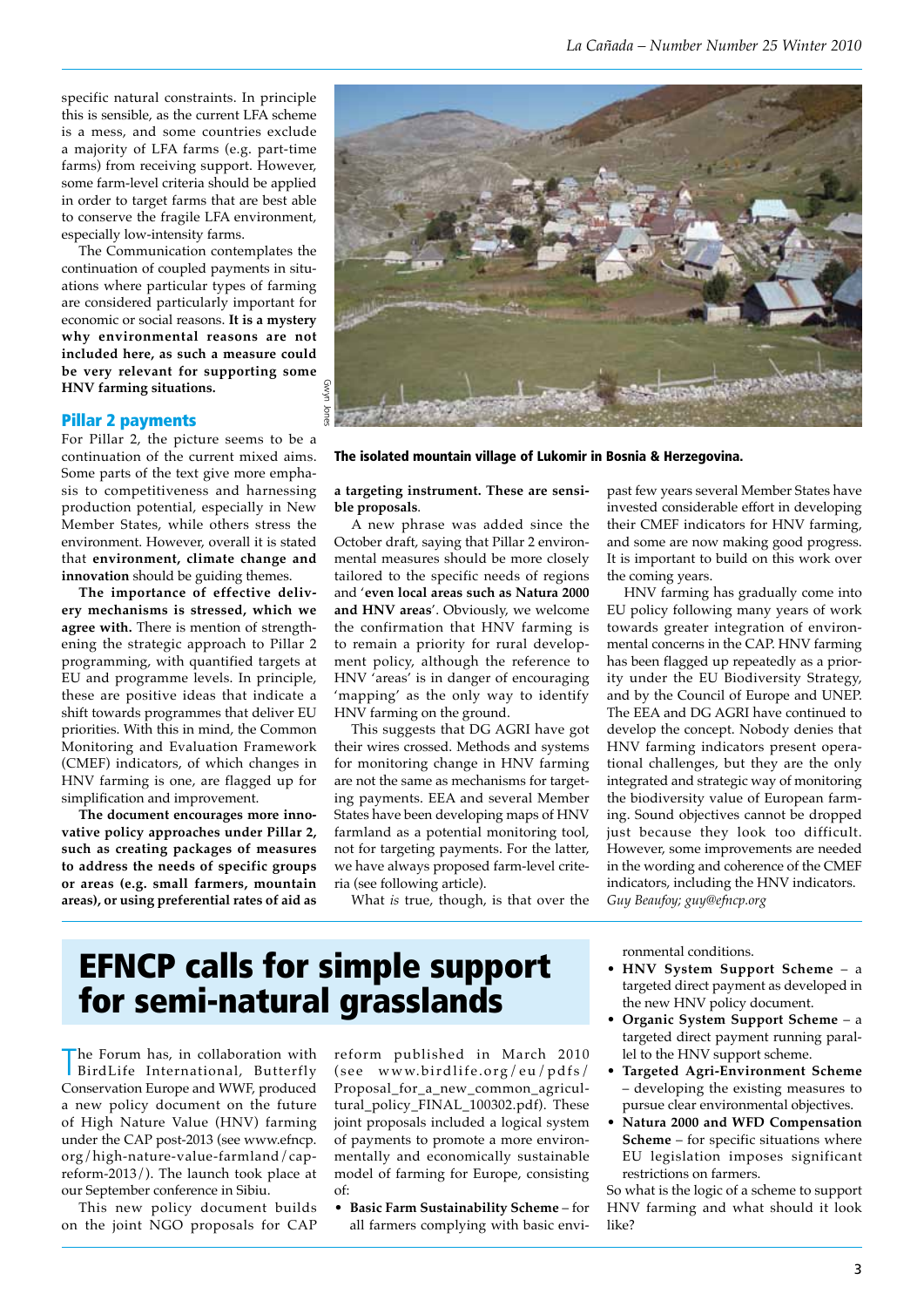specific natural constraints. In principle this is sensible, as the current LFA scheme is a mess, and some countries exclude a majority of LFA farms (e.g. part-time farms) from receiving support. However, some farm-level criteria should be applied in order to target farms that are best able to conserve the fragile LFA environment, especially low-intensity farms.

The Communication contemplates the continuation of coupled payments in situations where particular types of farming are considered particularly important for economic or social reasons. **It is a mystery why environmental reasons are not included here, as such a measure could be very relevant for supporting some HNV farming situations.**

#### Pillar 2 payments

For Pillar 2, the picture seems to be a continuation of the current mixed aims. Some parts of the text give more emphasis to competitiveness and harnessing production potential, especially in New Member States, while others stress the environment. However, overall it is stated that **environment, climate change and innovation** should be guiding themes.

**The importance of effective delivery mechanisms is stressed, which we agree with.** There is mention of strengthening the strategic approach to Pillar 2 programming, with quantified targets at EU and programme levels. In principle, these are positive ideas that indicate a shift towards programmes that deliver EU priorities. With this in mind, the Common Monitoring and Evaluation Framework (CMEF) indicators, of which changes in HNV farming is one, are flagged up for simplification and improvement.

**The document encourages more innovative policy approaches under Pillar 2, such as creating packages of measures to address the needs of specific groups or areas (e.g. small farmers, mountain areas), or using preferential rates of aid as** 



The isolated mountain village of Lukomir in Bosnia & Herzegovina.

**a targeting instrument. These are sensible proposals**.

A new phrase was added since the October draft, saying that Pillar 2 environmental measures should be more closely tailored to the specific needs of regions and '**even local areas such as Natura 2000 and HNV areas**'. Obviously, we welcome the confirmation that HNV farming is to remain a priority for rural development policy, although the reference to HNV 'areas' is in danger of encouraging 'mapping' as the only way to identify HNV farming on the ground.

This suggests that DG AGRI have got their wires crossed. Methods and systems for monitoring change in HNV farming are not the same as mechanisms for targeting payments. EEA and several Member States have been developing maps of HNV farmland as a potential monitoring tool, not for targeting payments. For the latter, we have always proposed farm-level criteria (see following article).

What *is* true, though, is that over the

past few years several Member States have invested considerable effort in developing their CMEF indicators for HNV farming, and some are now making good progress. It is important to build on this work over the coming years.

HNV farming has gradually come into EU policy following many years of work towards greater integration of environmental concerns in the CAP. HNV farming has been flagged up repeatedly as a priority under the EU Biodiversity Strategy, and by the Council of Europe and UNEP. The EEA and DG AGRI have continued to develop the concept. Nobody denies that HNV farming indicators present operational challenges, but they are the only integrated and strategic way of monitoring the biodiversity value of European farming. Sound objectives cannot be dropped just because they look too difficult. However, some improvements are needed in the wording and coherence of the CMEF indicators, including the HNV indicators. *Guy Beaufoy; guy@efncp.org* 

# EFNCP calls for simple support for semi-natural grasslands

T BirdLife International, Butterfly he Forum has, in collaboration with Conservation Europe and WWF, produced a new policy document on the future of High Nature Value (HNV) farming under the CAP post-2013 (see www.efncp. org/high-nature-value-farmland/capreform-2013/). The launch took place at our September conference in Sibiu.

This new policy document builds on the joint NGO proposals for CAP reform published in March 2010 (see www.birdlife.org/eu/pdfs/ Proposal\_for\_a\_new\_common\_agricultural\_policy\_FINAL\_100302.pdf). These joint proposals included a logical system of payments to promote a more environmentally and economically sustainable model of farming for Europe, consisting of:

**Basic Farm Sustainability Scheme** – for all farmers complying with basic environmental conditions.

- • **HNV System Support Scheme** a targeted direct payment as developed in the new HNV policy document.
- **Organic System Support Scheme** a targeted direct payment running parallel to the HNV support scheme.
- **Targeted Agri-Environment Scheme** – developing the existing measures to pursue clear environmental objectives.
- Natura 2000 and WFD Compensation **Scheme** – for specific situations where EU legislation imposes significant restrictions on farmers.

So what is the logic of a scheme to support HNV farming and what should it look like?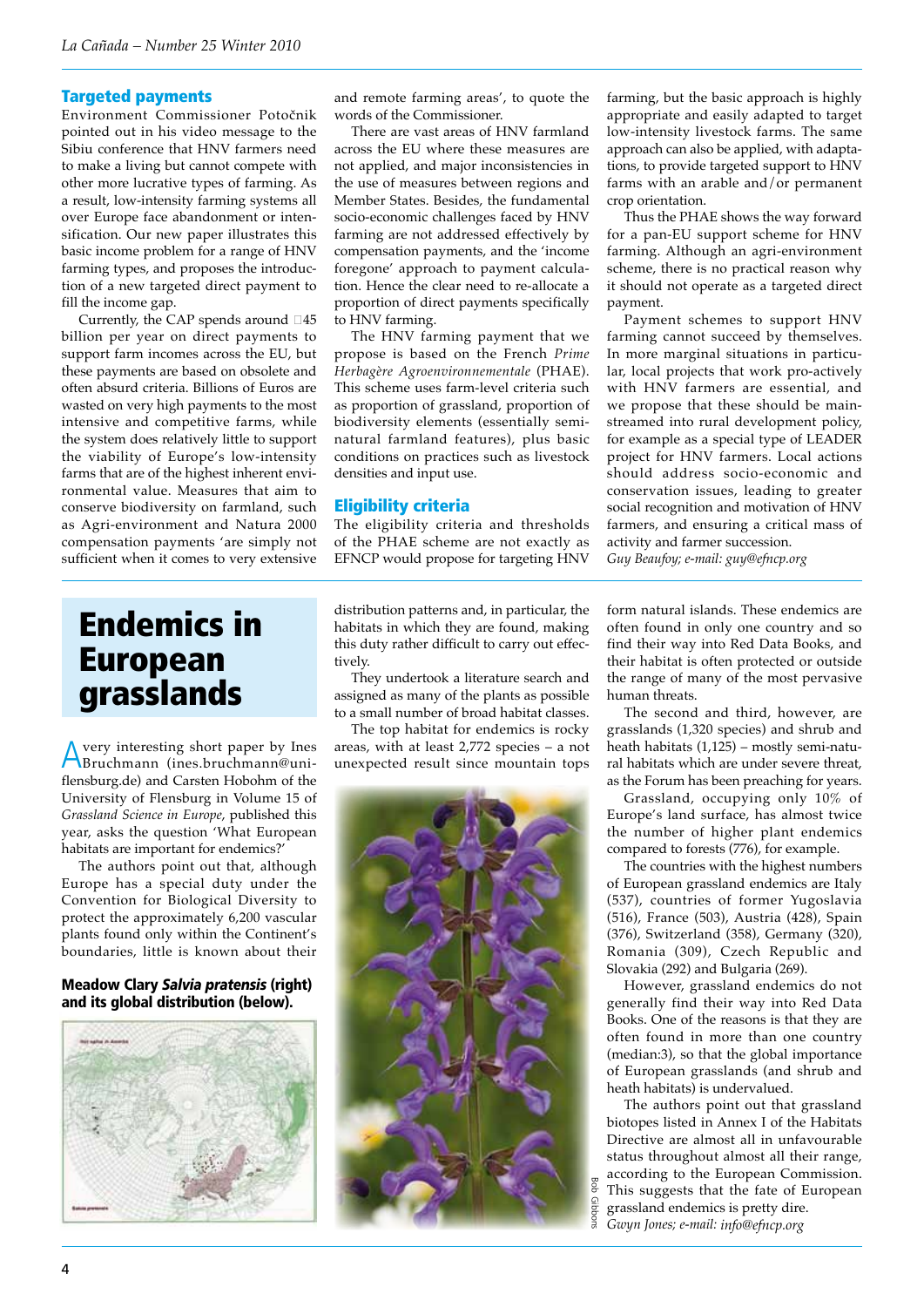## Targeted payments

Environment Commissioner Potočnik pointed out in his video message to the Sibiu conference that HNV farmers need to make a living but cannot compete with other more lucrative types of farming. As a result, low-intensity farming systems all over Europe face abandonment or intensification. Our new paper illustrates this basic income problem for a range of HNV farming types, and proposes the introduction of a new targeted direct payment to fill the income gap.

Currently, the CAP spends around  $\square 45$ billion per year on direct payments to support farm incomes across the EU, but these payments are based on obsolete and often absurd criteria. Billions of Euros are wasted on very high payments to the most intensive and competitive farms, while the system does relatively little to support the viability of Europe's low-intensity farms that are of the highest inherent environmental value. Measures that aim to conserve biodiversity on farmland, such as Agri-environment and Natura 2000 compensation payments 'are simply not sufficient when it comes to very extensive

and remote farming areas', to quote the words of the Commissioner.

There are vast areas of HNV farmland across the EU where these measures are not applied, and major inconsistencies in the use of measures between regions and Member States. Besides, the fundamental socio-economic challenges faced by HNV farming are not addressed effectively by compensation payments, and the 'income foregone' approach to payment calculation. Hence the clear need to re-allocate a proportion of direct payments specifically to HNV farming.

The HNV farming payment that we propose is based on the French *Prime Herbagère Agroenvironnementale* (PHAE). This scheme uses farm-level criteria such as proportion of grassland, proportion of biodiversity elements (essentially seminatural farmland features), plus basic conditions on practices such as livestock densities and input use.

## Eligibility criteria

The eligibility criteria and thresholds of the PHAE scheme are not exactly as EFNCP would propose for targeting HNV farming, but the basic approach is highly appropriate and easily adapted to target low-intensity livestock farms. The same approach can also be applied, with adaptations, to provide targeted support to HNV farms with an arable and/or permanent crop orientation.

Thus the PHAE shows the way forward for a pan-EU support scheme for HNV farming. Although an agri-environment scheme, there is no practical reason why it should not operate as a targeted direct payment.

Payment schemes to support HNV farming cannot succeed by themselves. In more marginal situations in particular, local projects that work pro-actively with HNV farmers are essential, and we propose that these should be mainstreamed into rural development policy, for example as a special type of LEADER project for HNV farmers. Local actions should address socio-economic and conservation issues, leading to greater social recognition and motivation of HNV farmers, and ensuring a critical mass of activity and farmer succession. *Guy Beaufoy; e-mail: guy@efncp.org*

# Endemics in European grasslands

Avery interesting short paper by Ines Bruchmann (ines.bruchmann@uniflensburg.de) and Carsten Hobohm of the University of Flensburg in Volume 15 of *Grassland Science in Europe*, published this year, asks the question 'What European habitats are important for endemics?'

The authors point out that, although Europe has a special duty under the Convention for Biological Diversity to protect the approximately 6,200 vascular plants found only within the Continent's boundaries, little is known about their

## Meadow Clary *Salvia pratensis* (right) and its global distribution (below).



distribution patterns and, in particular, the habitats in which they are found, making this duty rather difficult to carry out effectively.

They undertook a literature search and assigned as many of the plants as possible to a small number of broad habitat classes.

The top habitat for endemics is rocky areas, with at least 2,772 species – a not unexpected result since mountain tops



form natural islands. These endemics are often found in only one country and so find their way into Red Data Books, and their habitat is often protected or outside the range of many of the most pervasive human threats.

The second and third, however, are grasslands (1,320 species) and shrub and heath habitats (1,125) – mostly semi*-*natural habitats which are under severe threat, as the Forum has been preaching for years.

Grassland, occupying only 10% of Europe's land surface, has almost twice the number of higher plant endemics compared to forests (776), for example.

The countries with the highest numbers of European grassland endemics are Italy (537), countries of former Yugoslavia (516), France (503), Austria (428), Spain (376), Switzerland (358), Germany (320), Romania (309), Czech Republic and Slovakia (292) and Bulgaria (269).

However, grassland endemics do not generally find their way into Red Data Books. One of the reasons is that they are often found in more than one country (median:3), so that the global importance of European grasslands (and shrub and heath habitats) is undervalued.

The authors point out that grassland biotopes listed in Annex I of the Habitats Directive are almost all in unfavourable status throughout almost all their range, according to the European Commission. This suggests that the fate of European grassland endemics is pretty dire.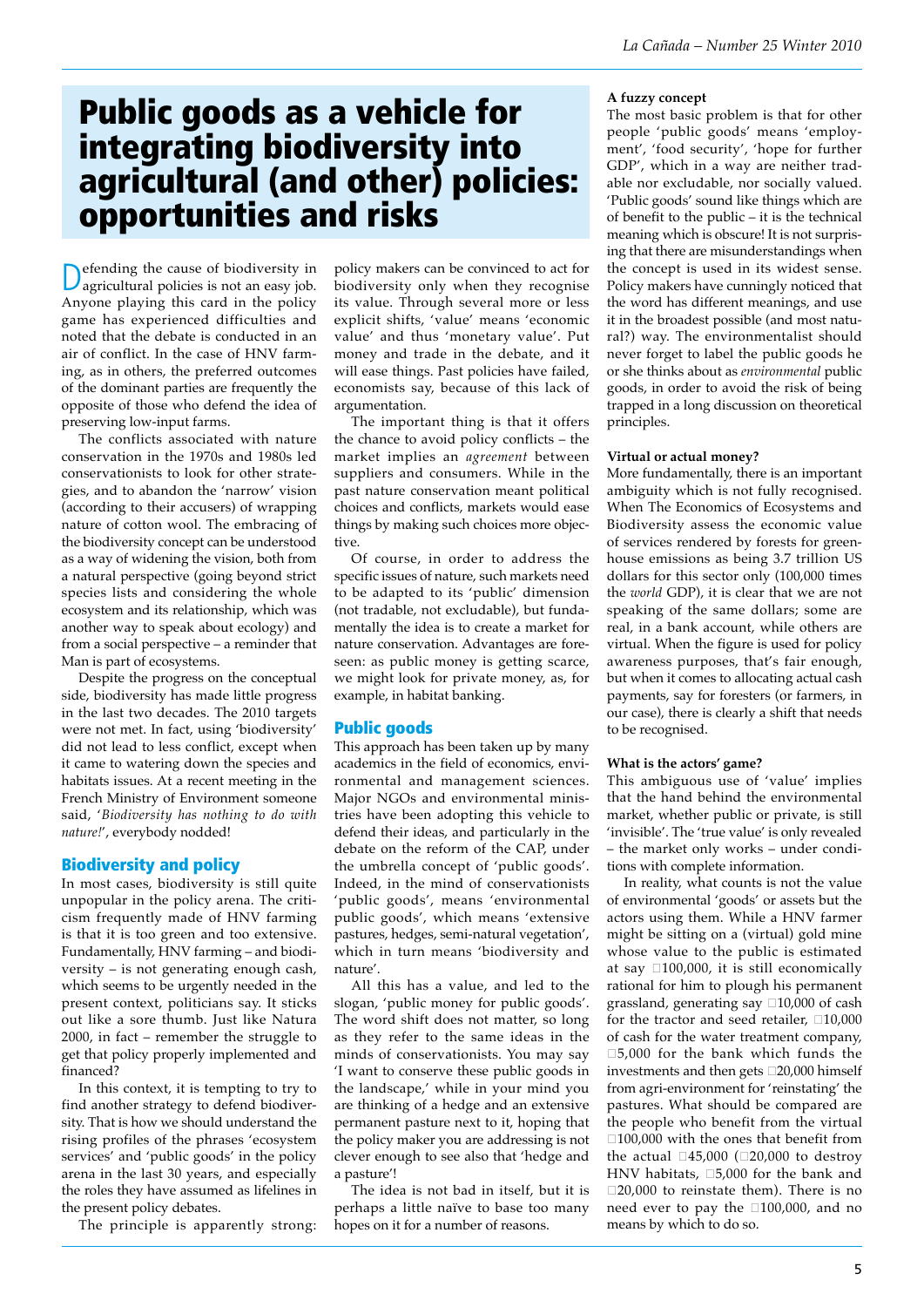# Public goods as a vehicle for integrating biodiversity into agricultural (and other) policies: opportunities and risks

Defending the cause of biodiversity in agricultural policies is not an easy job. Anyone playing this card in the policy game has experienced difficulties and noted that the debate is conducted in an air of conflict. In the case of HNV farming, as in others, the preferred outcomes of the dominant parties are frequently the opposite of those who defend the idea of preserving low-input farms.

The conflicts associated with nature conservation in the 1970s and 1980s led conservationists to look for other strategies, and to abandon the 'narrow' vision (according to their accusers) of wrapping nature of cotton wool. The embracing of the biodiversity concept can be understood as a way of widening the vision, both from a natural perspective (going beyond strict species lists and considering the whole ecosystem and its relationship, which was another way to speak about ecology) and from a social perspective – a reminder that Man is part of ecosystems.

Despite the progress on the conceptual side, biodiversity has made little progress in the last two decades. The 2010 targets were not met. In fact, using 'biodiversity' did not lead to less conflict, except when it came to watering down the species and habitats issues. At a recent meeting in the French Ministry of Environment someone said, '*Biodiversity has nothing to do with nature!*', everybody nodded!

## Biodiversity and policy

In most cases, biodiversity is still quite unpopular in the policy arena. The criticism frequently made of HNV farming is that it is too green and too extensive. Fundamentally, HNV farming – and biodiversity – is not generating enough cash, which seems to be urgently needed in the present context, politicians say. It sticks out like a sore thumb. Just like Natura 2000, in fact – remember the struggle to get that policy properly implemented and financed?

In this context, it is tempting to try to find another strategy to defend biodiversity. That is how we should understand the rising profiles of the phrases 'ecosystem services' and 'public goods' in the policy arena in the last 30 years, and especially the roles they have assumed as lifelines in the present policy debates.

The principle is apparently strong:

policy makers can be convinced to act for biodiversity only when they recognise its value. Through several more or less explicit shifts, 'value' means 'economic value' and thus 'monetary value'. Put money and trade in the debate, and it will ease things. Past policies have failed, economists say, because of this lack of argumentation.

The important thing is that it offers the chance to avoid policy conflicts – the market implies an *agreement* between suppliers and consumers. While in the past nature conservation meant political choices and conflicts, markets would ease things by making such choices more objective.

Of course, in order to address the specific issues of nature, such markets need to be adapted to its 'public' dimension (not tradable, not excludable), but fundamentally the idea is to create a market for nature conservation. Advantages are foreseen: as public money is getting scarce, we might look for private money, as, for example, in habitat banking.

## Public goods

This approach has been taken up by many academics in the field of economics, environmental and management sciences. Major NGOs and environmental ministries have been adopting this vehicle to defend their ideas, and particularly in the debate on the reform of the CAP, under the umbrella concept of 'public goods'. Indeed, in the mind of conservationists 'public goods', means 'environmental public goods', which means 'extensive pastures, hedges, semi-natural vegetation', which in turn means 'biodiversity and nature'.

All this has a value, and led to the slogan, 'public money for public goods'. The word shift does not matter, so long as they refer to the same ideas in the minds of conservationists. You may say 'I want to conserve these public goods in the landscape,' while in your mind you are thinking of a hedge and an extensive permanent pasture next to it, hoping that the policy maker you are addressing is not clever enough to see also that 'hedge and a pasture'!

The idea is not bad in itself, but it is perhaps a little naïve to base too many hopes on it for a number of reasons.

#### **A fuzzy concept**

The most basic problem is that for other people 'public goods' means 'employment', 'food security', 'hope for further GDP', which in a way are neither tradable nor excludable, nor socially valued. 'Public goods' sound like things which are of benefit to the public – it is the technical meaning which is obscure! It is not surprising that there are misunderstandings when the concept is used in its widest sense. Policy makers have cunningly noticed that the word has different meanings, and use it in the broadest possible (and most natural?) way. The environmentalist should never forget to label the public goods he or she thinks about as *environmental* public goods, in order to avoid the risk of being trapped in a long discussion on theoretical principles.

#### **Virtual or actual money?**

More fundamentally, there is an important ambiguity which is not fully recognised. When The Economics of Ecosystems and Biodiversity assess the economic value of services rendered by forests for greenhouse emissions as being 3.7 trillion US dollars for this sector only (100,000 times the *world* GDP), it is clear that we are not speaking of the same dollars; some are real, in a bank account, while others are virtual. When the figure is used for policy awareness purposes, that's fair enough, but when it comes to allocating actual cash payments, say for foresters (or farmers, in our case), there is clearly a shift that needs to be recognised.

#### **What is the actors' game?**

This ambiguous use of 'value' implies that the hand behind the environmental market, whether public or private, is still 'invisible'. The 'true value' is only revealed – the market only works – under conditions with complete information.

In reality, what counts is not the value of environmental 'goods' or assets but the actors using them. While a HNV farmer might be sitting on a (virtual) gold mine whose value to the public is estimated at say  $\Box$ 100,000, it is still economically rational for him to plough his permanent grassland, generating say  $\Box 10,000$  of cash for the tractor and seed retailer,  $\square 10,000$ of cash for the water treatment company,  $\square$ 5,000 for the bank which funds the investments and then gets  $\square 20,000$  himself from agri-environment for 'reinstating' the pastures. What should be compared are the people who benefit from the virtual  $\square$ 100,000 with the ones that benefit from the actual  $\Box 45,000$  ( $\Box 20,000$  to destroy HNV habitats,  $\square$ 5,000 for the bank and  $\square$ 20,000 to reinstate them). There is no need ever to pay the  $\square 100,000$ , and no means by which to do so.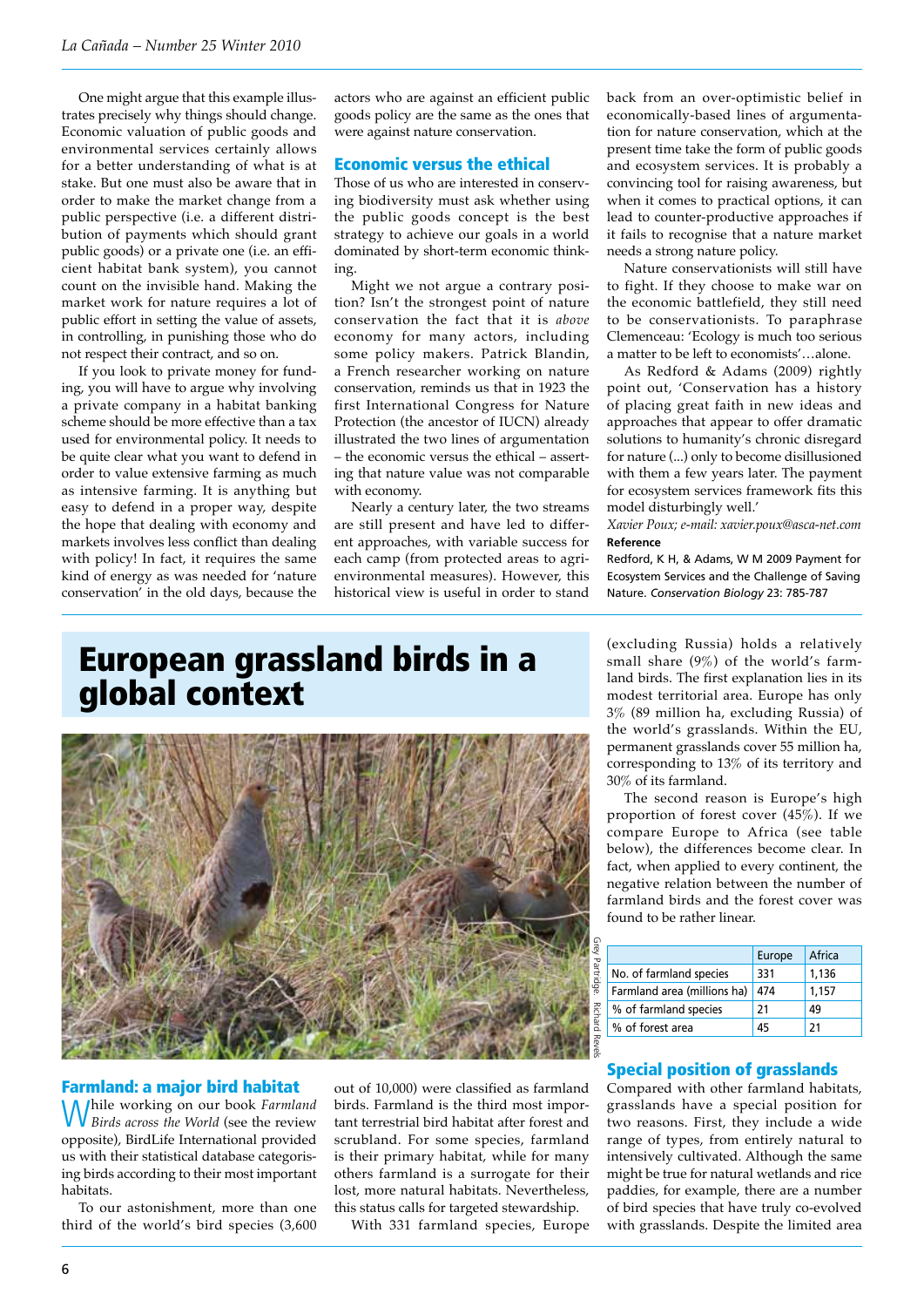One might argue that this example illustrates precisely why things should change. Economic valuation of public goods and environmental services certainly allows for a better understanding of what is at stake. But one must also be aware that in order to make the market change from a public perspective (i.e. a different distribution of payments which should grant public goods) or a private one (i.e. an efficient habitat bank system), you cannot count on the invisible hand. Making the market work for nature requires a lot of public effort in setting the value of assets, in controlling, in punishing those who do not respect their contract, and so on.

If you look to private money for funding, you will have to argue why involving a private company in a habitat banking scheme should be more effective than a tax used for environmental policy. It needs to be quite clear what you want to defend in order to value extensive farming as much as intensive farming. It is anything but easy to defend in a proper way, despite the hope that dealing with economy and markets involves less conflict than dealing with policy! In fact, it requires the same kind of energy as was needed for 'nature conservation' in the old days, because the

actors who are against an efficient public goods policy are the same as the ones that were against nature conservation.

## Economic versus the ethical

Those of us who are interested in conserving biodiversity must ask whether using the public goods concept is the best strategy to achieve our goals in a world dominated by short-term economic thinking.

Might we not argue a contrary position? Isn't the strongest point of nature conservation the fact that it is *above* economy for many actors, including some policy makers. Patrick Blandin, a French researcher working on nature conservation, reminds us that in 1923 the first International Congress for Nature Protection (the ancestor of IUCN) already illustrated the two lines of argumentation – the economic versus the ethical – asserting that nature value was not comparable with economy.

Nearly a century later, the two streams are still present and have led to different approaches, with variable success for each camp (from protected areas to agrienvironmental measures). However, this historical view is useful in order to stand

back from an over-optimistic belief in economically-based lines of argumentation for nature conservation, which at the present time take the form of public goods and ecosystem services. It is probably a convincing tool for raising awareness, but when it comes to practical options, it can lead to counter-productive approaches if it fails to recognise that a nature market needs a strong nature policy.

Nature conservationists will still have to fight. If they choose to make war on the economic battlefield, they still need to be conservationists. To paraphrase Clemenceau: 'Ecology is much too serious a matter to be left to economists'…alone.

As Redford & Adams (2009) rightly point out, 'Conservation has a history of placing great faith in new ideas and approaches that appear to offer dramatic solutions to humanity's chronic disregard for nature (...) only to become disillusioned with them a few years later. The payment for ecosystem services framework fits this model disturbingly well.'

*Xavier Poux; e-mail: xavier.poux@asca-net.com* **Reference**

Redford, K H, & Adams, W M 2009 Payment for Ecosystem Services and the Challenge of Saving Nature. *Conservation Biology* 23: 785-787

## European grassland birds in a global context



#### Farmland: a major bird habitat

While working on our book *Farmland Birds across the World* (see the review opposite), BirdLife International provided us with their statistical database categorising birds according to their most important habitats.

To our astonishment, more than one third of the world's bird species (3,600 out of 10,000) were classified as farmland birds. Farmland is the third most important terrestrial bird habitat after forest and scrubland. For some species, farmland is their primary habitat, while for many others farmland is a surrogate for their lost, more natural habitats. Nevertheless, this status calls for targeted stewardship.

With 331 farmland species, Europe

(excluding Russia) holds a relatively small share (9%) of the world's farmland birds. The first explanation lies in its modest territorial area. Europe has only 3% (89 million ha, excluding Russia) of the world's grasslands. Within the EU, permanent grasslands cover 55 million ha, corresponding to 13% of its territory and 30% of its farmland.

The second reason is Europe's high proportion of forest cover (45%). If we compare Europe to Africa (see table below), the differences become clear. In fact, when applied to every continent, the negative relation between the number of farmland birds and the forest cover was found to be rather linear.

|                             | Europe | Africa |
|-----------------------------|--------|--------|
| No. of farmland species     | 331    | 1,136  |
| Farmland area (millions ha) | 474    | 1,157  |
| % of farmland species       | 21     | 49     |
| % of forest area            | 45     | 21     |

### Special position of grasslands

Compared with other farmland habitats, grasslands have a special position for two reasons. First, they include a wide range of types, from entirely natural to intensively cultivated. Although the same might be true for natural wetlands and rice paddies, for example, there are a number of bird species that have truly co-evolved with grasslands. Despite the limited area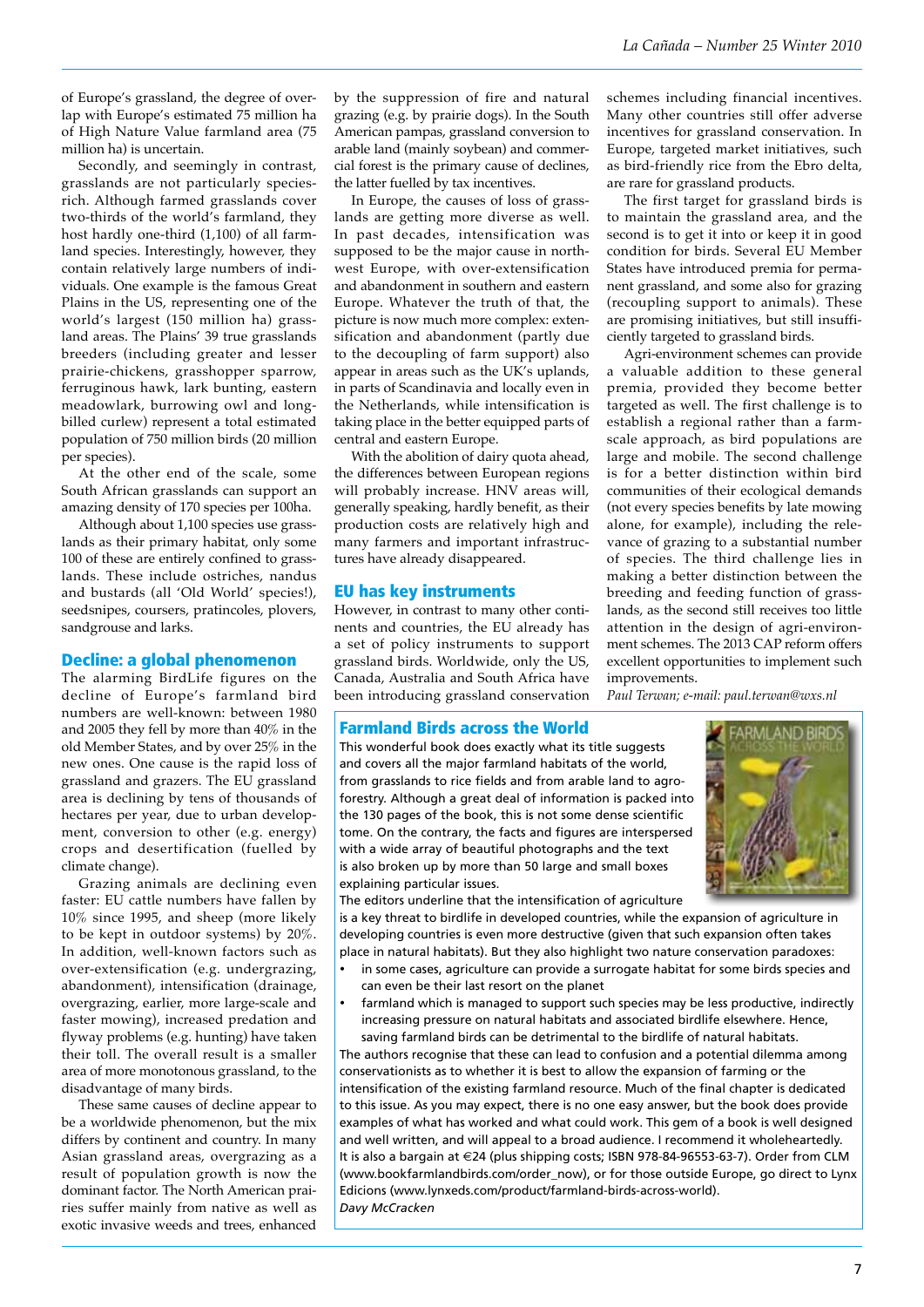schemes including financial incentives. Many other countries still offer adverse incentives for grassland conservation. In Europe, targeted market initiatives, such as bird-friendly rice from the Ebro delta,

The first target for grassland birds is to maintain the grassland area, and the second is to get it into or keep it in good condition for birds. Several EU Member States have introduced premia for permanent grassland, and some also for grazing (recoupling support to animals). These are promising initiatives, but still insufficiently targeted to grassland birds.

Agri-environment schemes can provide a valuable addition to these general premia, provided they become better targeted as well. The first challenge is to establish a regional rather than a farmscale approach, as bird populations are large and mobile. The second challenge is for a better distinction within bird communities of their ecological demands (not every species benefits by late mowing alone, for example), including the relevance of grazing to a substantial number of species. The third challenge lies in making a better distinction between the breeding and feeding function of grasslands, as the second still receives too little attention in the design of agri-environment schemes. The 2013 CAP reform offers excellent opportunities to implement such

are rare for grassland products.

of Europe's grassland, the degree of overlap with Europe's estimated 75 million ha of High Nature Value farmland area (75 million ha) is uncertain.

Secondly, and seemingly in contrast, grasslands are not particularly speciesrich. Although farmed grasslands cover two-thirds of the world's farmland, they host hardly one-third (1,100) of all farmland species. Interestingly, however, they contain relatively large numbers of individuals. One example is the famous Great Plains in the US, representing one of the world's largest (150 million ha) grassland areas. The Plains' 39 true grasslands breeders (including greater and lesser prairie-chickens, grasshopper sparrow, ferruginous hawk, lark bunting, eastern meadowlark, burrowing owl and longbilled curlew) represent a total estimated population of 750 million birds (20 million per species).

At the other end of the scale, some South African grasslands can support an amazing density of 170 species per 100ha.

Although about 1,100 species use grasslands as their primary habitat, only some 100 of these are entirely confined to grasslands. These include ostriches, nandus and bustards (all 'Old World' species!), seedsnipes, coursers, pratincoles, plovers, sandgrouse and larks.

### Decline: a global phenomenon

The alarming BirdLife figures on the decline of Europe's farmland bird numbers are well-known: between 1980 and 2005 they fell by more than 40% in the old Member States, and by over 25% in the new ones. One cause is the rapid loss of grassland and grazers. The EU grassland area is declining by tens of thousands of hectares per year, due to urban development, conversion to other (e.g. energy) crops and desertification (fuelled by climate change).

Grazing animals are declining even faster: EU cattle numbers have fallen by 10% since 1995, and sheep (more likely to be kept in outdoor systems) by 20%. In addition, well-known factors such as over-extensification (e.g. undergrazing, abandonment), intensification (drainage, overgrazing, earlier, more large-scale and faster mowing), increased predation and flyway problems (e.g. hunting) have taken their toll. The overall result is a smaller area of more monotonous grassland, to the disadvantage of many birds.

These same causes of decline appear to be a worldwide phenomenon, but the mix differs by continent and country. In many Asian grassland areas, overgrazing as a result of population growth is now the dominant factor. The North American prairies suffer mainly from native as well as exotic invasive weeds and trees, enhanced by the suppression of fire and natural grazing (e.g. by prairie dogs). In the South American pampas, grassland conversion to arable land (mainly soybean) and commercial forest is the primary cause of declines, the latter fuelled by tax incentives.

In Europe, the causes of loss of grasslands are getting more diverse as well. In past decades, intensification was supposed to be the major cause in northwest Europe, with over-extensification and abandonment in southern and eastern Europe. Whatever the truth of that, the picture is now much more complex: extensification and abandonment (partly due to the decoupling of farm support) also appear in areas such as the UK's uplands, in parts of Scandinavia and locally even in the Netherlands, while intensification is taking place in the better equipped parts of central and eastern Europe.

With the abolition of dairy quota ahead, the differences between European regions will probably increase. HNV areas will, generally speaking, hardly benefit, as their production costs are relatively high and many farmers and important infrastructures have already disappeared.

#### EU has key instruments

However, in contrast to many other continents and countries, the EU already has a set of policy instruments to support grassland birds. Worldwide, only the US, Canada, Australia and South Africa have been introducing grassland conservation

#### Farmland Birds across the World

This wonderful book does exactly what its title suggests and covers all the major farmland habitats of the world, from grasslands to rice fields and from arable land to agroforestry. Although a great deal of information is packed into the 130 pages of the book, this is not some dense scientific tome. On the contrary, the facts and figures are interspersed with a wide array of beautiful photographs and the text is also broken up by more than 50 large and small boxes explaining particular issues.

The editors underline that the intensification of agriculture is a key threat to birdlife in developed countries, while the expansion of agriculture in developing countries is even more destructive (given that such expansion often takes place in natural habitats). But they also highlight two nature conservation paradoxes:

improvements.

*Paul Terwan; e-mail: paul.terwan@wxs.nl* 

- in some cases, agriculture can provide a surrogate habitat for some birds species and can even be their last resort on the planet
- farmland which is managed to support such species may be less productive, indirectly increasing pressure on natural habitats and associated birdlife elsewhere. Hence, saving farmland birds can be detrimental to the birdlife of natural habitats.

The authors recognise that these can lead to confusion and a potential dilemma among conservationists as to whether it is best to allow the expansion of farming or the intensification of the existing farmland resource. Much of the final chapter is dedicated to this issue. As you may expect, there is no one easy answer, but the book does provide examples of what has worked and what could work. This gem of a book is well designed and well written, and will appeal to a broad audience. I recommend it wholeheartedly. It is also a bargain at €24 (plus shipping costs; ISBN 978-84-96553-63-7). Order from CLM (www.bookfarmlandbirds.com/order\_now), or for those outside Europe, go direct to Lynx Edicions (www.lynxeds.com/product/farmland-birds-across-world). *Davy McCracken*

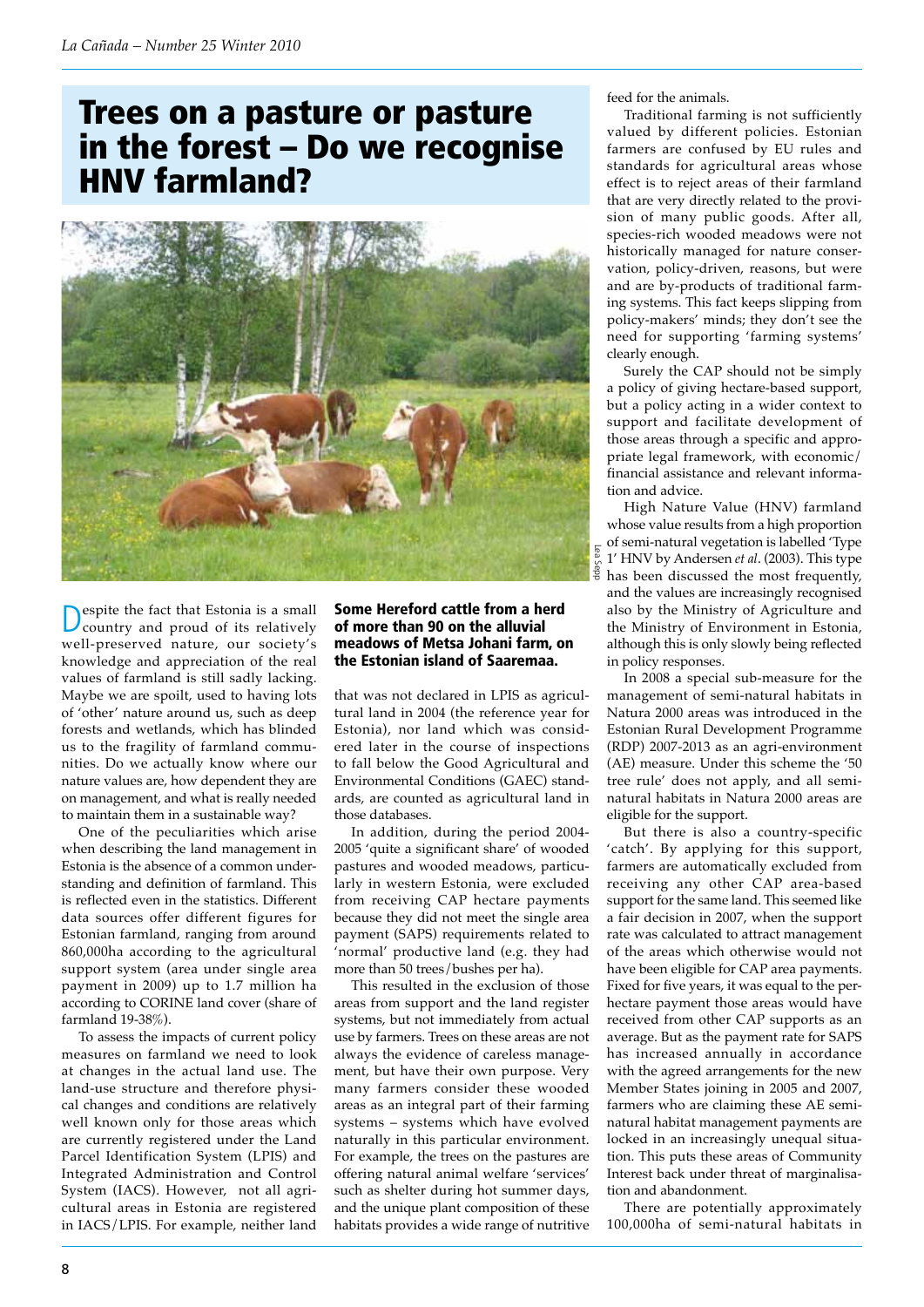# Trees on a pasture or pasture in the forest – Do we recognise HNV farmland?



Despite the fact that Estonia is a small country and proud of its relatively well-preserved nature, our society's knowledge and appreciation of the real values of farmland is still sadly lacking. Maybe we are spoilt, used to having lots of 'other' nature around us, such as deep forests and wetlands, which has blinded us to the fragility of farmland communities. Do we actually know where our nature values are, how dependent they are on management, and what is really needed to maintain them in a sustainable way?

One of the peculiarities which arise when describing the land management in Estonia is the absence of a common understanding and definition of farmland. This is reflected even in the statistics. Different data sources offer different figures for Estonian farmland, ranging from around 860,000ha according to the agricultural support system (area under single area payment in 2009) up to 1.7 million ha according to CORINE land cover (share of farmland 19-38%).

To assess the impacts of current policy measures on farmland we need to look at changes in the actual land use. The land-use structure and therefore physical changes and conditions are relatively well known only for those areas which are currently registered under the Land Parcel Identification System (LPIS) and Integrated Administration and Control System (IACS). However, not all agricultural areas in Estonia are registered in IACS/LPIS. For example, neither land

### Some Hereford cattle from a herd of more than 90 on the alluvial meadows of Metsa Johani farm, on the Estonian island of Saaremaa.

that was not declared in LPIS as agricultural land in 2004 (the reference year for Estonia), nor land which was considered later in the course of inspections to fall below the Good Agricultural and Environmental Conditions (GAEC) standards, are counted as agricultural land in those databases.

In addition, during the period 2004- 2005 'quite a significant share' of wooded pastures and wooded meadows, particularly in western Estonia, were excluded from receiving CAP hectare payments because they did not meet the single area payment (SAPS) requirements related to 'normal' productive land (e.g. they had more than 50 trees/bushes per ha).

This resulted in the exclusion of those areas from support and the land register systems, but not immediately from actual use by farmers. Trees on these areas are not always the evidence of careless management, but have their own purpose. Very many farmers consider these wooded areas as an integral part of their farming systems – systems which have evolved naturally in this particular environment. For example, the trees on the pastures are offering natural animal welfare 'services' such as shelter during hot summer days, and the unique plant composition of these habitats provides a wide range of nutritive feed for the animals.

Traditional farming is not sufficiently valued by different policies. Estonian farmers are confused by EU rules and standards for agricultural areas whose effect is to reject areas of their farmland that are very directly related to the provision of many public goods. After all, species-rich wooded meadows were not historically managed for nature conservation, policy-driven, reasons, but were and are by-products of traditional farming systems. This fact keeps slipping from policy-makers' minds; they don't see the need for supporting 'farming systems' clearly enough.

Surely the CAP should not be simply a policy of giving hectare-based support, but a policy acting in a wider context to support and facilitate development of those areas through a specific and appropriate legal framework, with economic/ financial assistance and relevant information and advice.

High Nature Value (HNV) farmland whose value results from a high proportion  $\frac{1}{8}$  of semi-natural vegetation is labelled 'Type<br>  $\frac{1}{8}$  1' HNV by Andersen *et al.* (2003). This type<br>  $\frac{2}{8}$  has been discussed the most frequently. 1' HNV by Andersen *et al*. (2003). This type has been discussed the most frequently, and the values are increasingly recognised also by the Ministry of Agriculture and the Ministry of Environment in Estonia, although this is only slowly being reflected in policy responses.

In 2008 a special sub-measure for the management of semi-natural habitats in Natura 2000 areas was introduced in the Estonian Rural Development Programme (RDP) 2007-2013 as an agri-environment (AE) measure. Under this scheme the '50 tree rule' does not apply, and all seminatural habitats in Natura 2000 areas are eligible for the support.

But there is also a country-specific 'catch'. By applying for this support, farmers are automatically excluded from receiving any other CAP area-based support for the same land. This seemed like a fair decision in 2007, when the support rate was calculated to attract management of the areas which otherwise would not have been eligible for CAP area payments. Fixed for five years, it was equal to the perhectare payment those areas would have received from other CAP supports as an average. But as the payment rate for SAPS has increased annually in accordance with the agreed arrangements for the new Member States joining in 2005 and 2007, farmers who are claiming these AE seminatural habitat management payments are locked in an increasingly unequal situation. This puts these areas of Community Interest back under threat of marginalisation and abandonment.

There are potentially approximately 100,000ha of semi-natural habitats in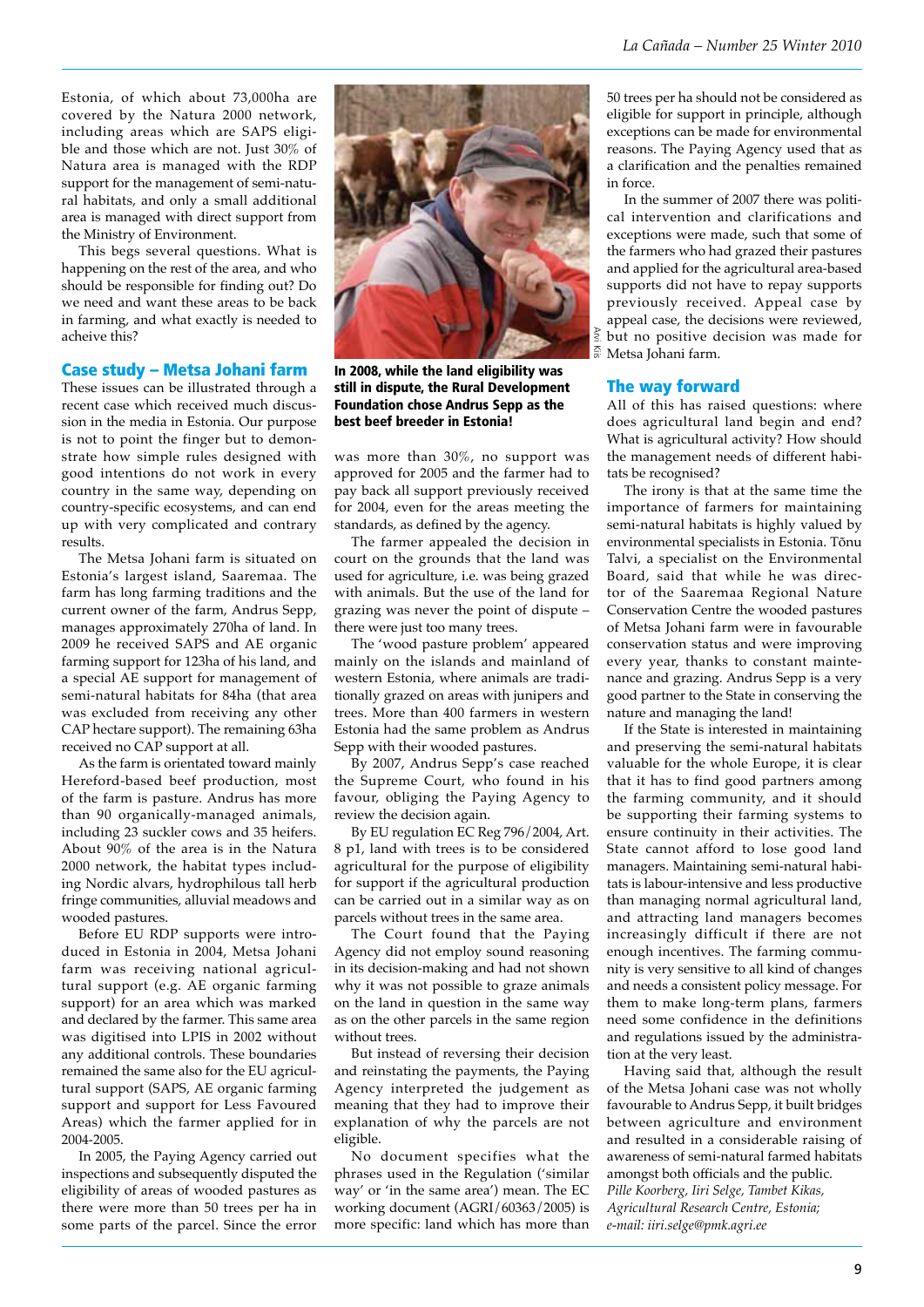Estonia, of which about 73,000ha are covered by the Natura 2000 network, including areas which are SAPS eligible and those which are not. Just 30% of Natura area is managed with the RDP support for the management of semi-natural habitats, and only a small additional area is managed with direct support from the Ministry of Environment.

This begs several questions. What is happening on the rest of the area, and who should be responsible for finding out? Do we need and want these areas to be back in farming, and what exactly is needed to acheive this?

#### Case study – Metsa Johani farm

These issues can be illustrated through a recent case which received much discussion in the media in Estonia. Our purpose is not to point the finger but to demonstrate how simple rules designed with good intentions do not work in every country in the same way, depending on country-specific ecosystems, and can end up with very complicated and contrary results.

The Metsa Johani farm is situated on Estonia's largest island, Saaremaa. The farm has long farming traditions and the current owner of the farm, Andrus Sepp, manages approximately 270ha of land. In 2009 he received SAPS and AE organic farming support for 123ha of his land, and a special AE support for management of semi-natural habitats for 84ha (that area was excluded from receiving any other CAP hectare support). The remaining 63ha received no CAP support at all.

As the farm is orientated toward mainly Hereford-based beef production, most of the farm is pasture. Andrus has more than 90 organically-managed animals, including 23 suckler cows and 35 heifers. About 90% of the area is in the Natura 2000 network, the habitat types including Nordic alvars, hydrophilous tall herb fringe communities, alluvial meadows and wooded pastures.

Before EU RDP supports were introduced in Estonia in 2004, Metsa Johani farm was receiving national agricultural support (e.g. AE organic farming support) for an area which was marked and declared by the farmer. This same area was digitised into LPIS in 2002 without any additional controls. These boundaries remained the same also for the EU agricultural support (SAPS, AE organic farming support and support for Less Favoured Areas) which the farmer applied for in 2004-2005.

In 2005, the Paying Agency carried out inspections and subsequently disputed the eligibility of areas of wooded pastures as there were more than 50 trees per ha in some parts of the parcel. Since the error



In 2008, while the land eligibility was still in dispute, the Rural Development Foundation chose Andrus Sepp as the best beef breeder in Estonia!

was more than 30%, no support was approved for 2005 and the farmer had to pay back all support previously received for 2004, even for the areas meeting the standards, as defined by the agency.

The farmer appealed the decision in court on the grounds that the land was used for agriculture, i.e. was being grazed with animals. But the use of the land for grazing was never the point of dispute – there were just too many trees.

The 'wood pasture problem' appeared mainly on the islands and mainland of western Estonia, where animals are traditionally grazed on areas with junipers and trees. More than 400 farmers in western Estonia had the same problem as Andrus Sepp with their wooded pastures.

By 2007, Andrus Sepp's case reached the Supreme Court, who found in his favour, obliging the Paying Agency to review the decision again.

By EU regulation EC Reg 796/2004, Art. 8 p1, land with trees is to be considered agricultural for the purpose of eligibility for support if the agricultural production can be carried out in a similar way as on parcels without trees in the same area.

The Court found that the Paying Agency did not employ sound reasoning in its decision-making and had not shown why it was not possible to graze animals on the land in question in the same way as on the other parcels in the same region without trees.

But instead of reversing their decision and reinstating the payments, the Paying Agency interpreted the judgement as meaning that they had to improve their explanation of why the parcels are not eligible.

No document specifies what the phrases used in the Regulation ('similar way' or 'in the same area') mean. The EC working document (AGRI/60363/2005) is more specific: land which has more than 50 trees per ha should not be considered as eligible for support in principle, although exceptions can be made for environmental reasons. The Paying Agency used that as a clarification and the penalties remained in force.

In the summer of 2007 there was political intervention and clarifications and exceptions were made, such that some of the farmers who had grazed their pastures and applied for the agricultural area-based supports did not have to repay supports previously received. Appeal case by appeal case, the decisions were reviewed,  $\frac{2}{3}$  but no positive decision was made for  $\frac{2}{3}$  Metsa Iohani farm.  $\frac{25}{25}$  Metsa Johani farm.

### The way forward

All of this has raised questions: where does agricultural land begin and end? What is agricultural activity? How should the management needs of different habitats be recognised?

The irony is that at the same time the importance of farmers for maintaining semi-natural habitats is highly valued by environmental specialists in Estonia. Tõnu Talvi, a specialist on the Environmental Board, said that while he was director of the Saaremaa Regional Nature Conservation Centre the wooded pastures of Metsa Johani farm were in favourable conservation status and were improving every year, thanks to constant maintenance and grazing. Andrus Sepp is a very good partner to the State in conserving the nature and managing the land!

If the State is interested in maintaining and preserving the semi-natural habitats valuable for the whole Europe, it is clear that it has to find good partners among the farming community, and it should be supporting their farming systems to ensure continuity in their activities. The State cannot afford to lose good land managers. Maintaining semi-natural habitats is labour-intensive and less productive than managing normal agricultural land, and attracting land managers becomes increasingly difficult if there are not enough incentives. The farming community is very sensitive to all kind of changes and needs a consistent policy message. For them to make long-term plans, farmers need some confidence in the definitions and regulations issued by the administration at the very least.

Having said that, although the result of the Metsa Johani case was not wholly favourable to Andrus Sepp, it built bridges between agriculture and environment and resulted in a considerable raising of awareness of semi-natural farmed habitats amongst both officials and the public. *Pille Koorberg, Iiri Selge, Tambet Kikas, Agricultural Research Centre, Estonia; e-mail: iiri.selge@pmk.agri.ee*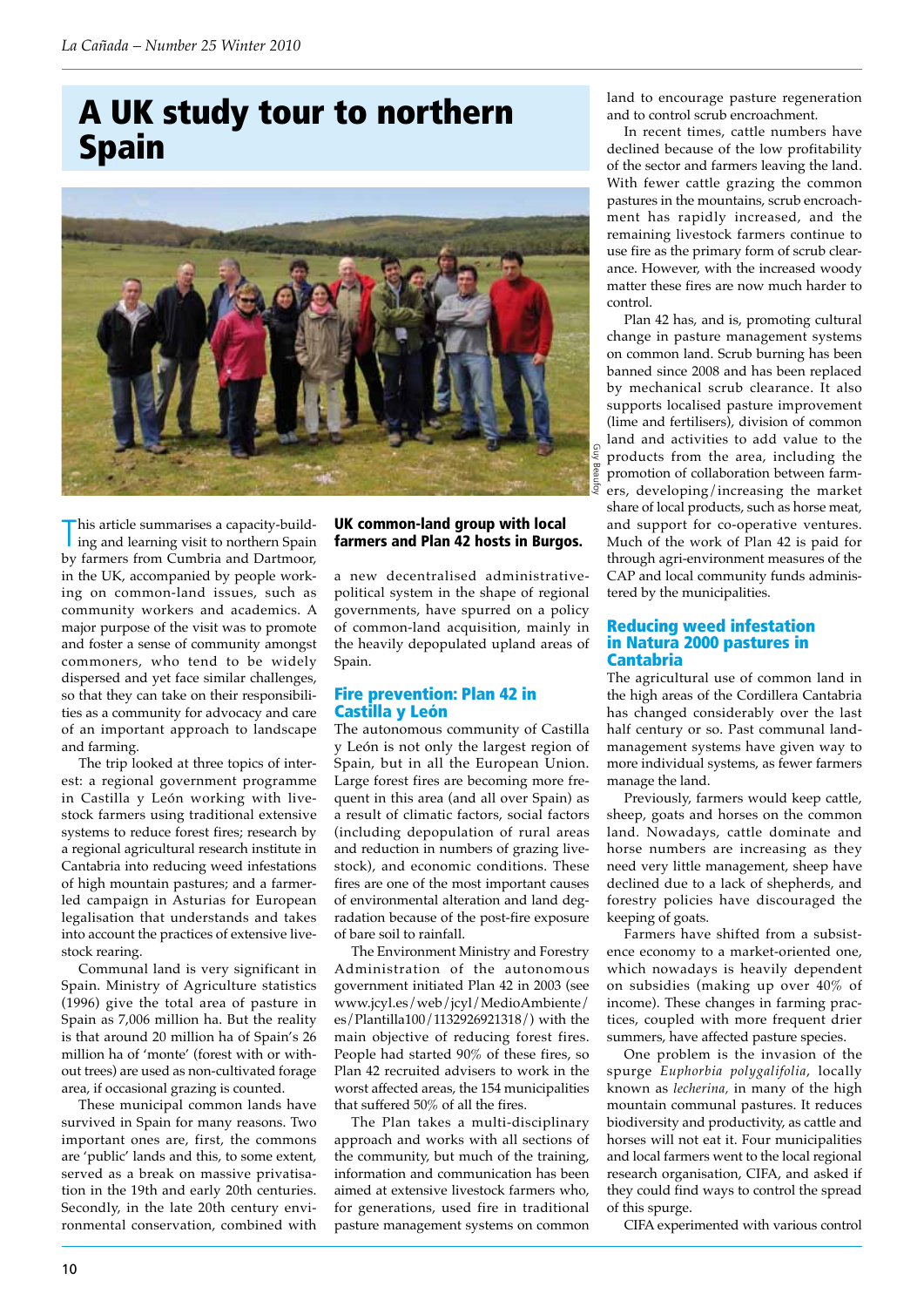# A UK study tour to northern Spain



This article summarises a capacity-build-<br>ing and learning visit to northern Spain ing and learning visit to northern Spain by farmers from Cumbria and Dartmoor, in the UK, accompanied by people working on common-land issues, such as community workers and academics. A major purpose of the visit was to promote and foster a sense of community amongst commoners, who tend to be widely dispersed and yet face similar challenges, so that they can take on their responsibilities as a community for advocacy and care of an important approach to landscape and farming.

The trip looked at three topics of interest: a regional government programme in Castilla y León working with livestock farmers using traditional extensive systems to reduce forest fires; research by a regional agricultural research institute in Cantabria into reducing weed infestations of high mountain pastures; and a farmerled campaign in Asturias for European legalisation that understands and takes into account the practices of extensive livestock rearing.

Communal land is very significant in Spain. Ministry of Agriculture statistics (1996) give the total area of pasture in Spain as 7,006 million ha. But the reality is that around 20 million ha of Spain's 26 million ha of 'monte' (forest with or without trees) are used as non-cultivated forage area, if occasional grazing is counted.

These municipal common lands have survived in Spain for many reasons. Two important ones are, first, the commons are 'public' lands and this, to some extent, served as a break on massive privatisation in the 19th and early 20th centuries. Secondly, in the late 20th century environmental conservation, combined with

## UK common-land group with local farmers and Plan 42 hosts in Burgos.

a new decentralised administrativepolitical system in the shape of regional governments, have spurred on a policy of common-land acquisition, mainly in the heavily depopulated upland areas of Spain.

### Fire prevention: Plan 42 in Castilla y León

The autonomous community of Castilla y León is not only the largest region of Spain, but in all the European Union. Large forest fires are becoming more frequent in this area (and all over Spain) as a result of climatic factors, social factors (including depopulation of rural areas and reduction in numbers of grazing livestock), and economic conditions. These fires are one of the most important causes of environmental alteration and land degradation because of the post-fire exposure of bare soil to rainfall.

The Environment Ministry and Forestry Administration of the autonomous government initiated Plan 42 in 2003 (see www.jcyl.es/web/jcyl/MedioAmbiente/ es/Plantilla100/1132926921318/) with the main objective of reducing forest fires. People had started 90% of these fires, so Plan 42 recruited advisers to work in the worst affected areas, the 154 municipalities that suffered 50% of all the fires.

The Plan takes a multi-disciplinary approach and works with all sections of the community, but much of the training, information and communication has been aimed at extensive livestock farmers who, for generations, used fire in traditional pasture management systems on common land to encourage pasture regeneration land to encourage pasture regeneration<br>and to control scrub encroachment.

In recent times, cattle numbers have declined because of the low profitability of the sector and farmers leaving the land. In recent times, cattle numbers have declined because of the low profitability of the sector and farmers leaving the land. With fewer cattle grazing the common pastures in the mountains, scrub encroachment has rapidly increased, and the remaining livestock farmers continue to use fire as the primary form of scrub clearance. However, with the increased woody matter these fires are now much harder to control.

Plan 42 has, and is, promoting cultural change in pasture management systems on common land. Scrub burning has been banned since 2008 and has been replaced by mechanical scrub clearance. It also supports localised pasture improvement (lime and fertilisers), division of common land and activities to add value to the products from the area, including the promotion of collaboration between farmers, developing/increasing the market share of local products, such as horse meat, and support for co-operative ventures. Much of the work of Plan 42 is paid for through agri-environment measures of the CAP and local community funds administered by the municipalities.

#### Reducing weed infestation in Natura 2000 pastures in Cantabria

The agricultural use of common land in the high areas of the Cordillera Cantabria has changed considerably over the last half century or so. Past communal landmanagement systems have given way to more individual systems, as fewer farmers manage the land.

Previously, farmers would keep cattle, sheep, goats and horses on the common land. Nowadays, cattle dominate and horse numbers are increasing as they need very little management, sheep have declined due to a lack of shepherds, and forestry policies have discouraged the keeping of goats.

Farmers have shifted from a subsistence economy to a market-oriented one, which nowadays is heavily dependent on subsidies (making up over 40% of income). These changes in farming practices, coupled with more frequent drier summers, have affected pasture species.

One problem is the invasion of the spurge *Euphorbia polygalifolia*, locally known as *lecherina,* in many of the high mountain communal pastures. It reduces biodiversity and productivity, as cattle and horses will not eat it. Four municipalities and local farmers went to the local regional research organisation, CIFA, and asked if they could find ways to control the spread of this spurge.

CIFA experimented with various control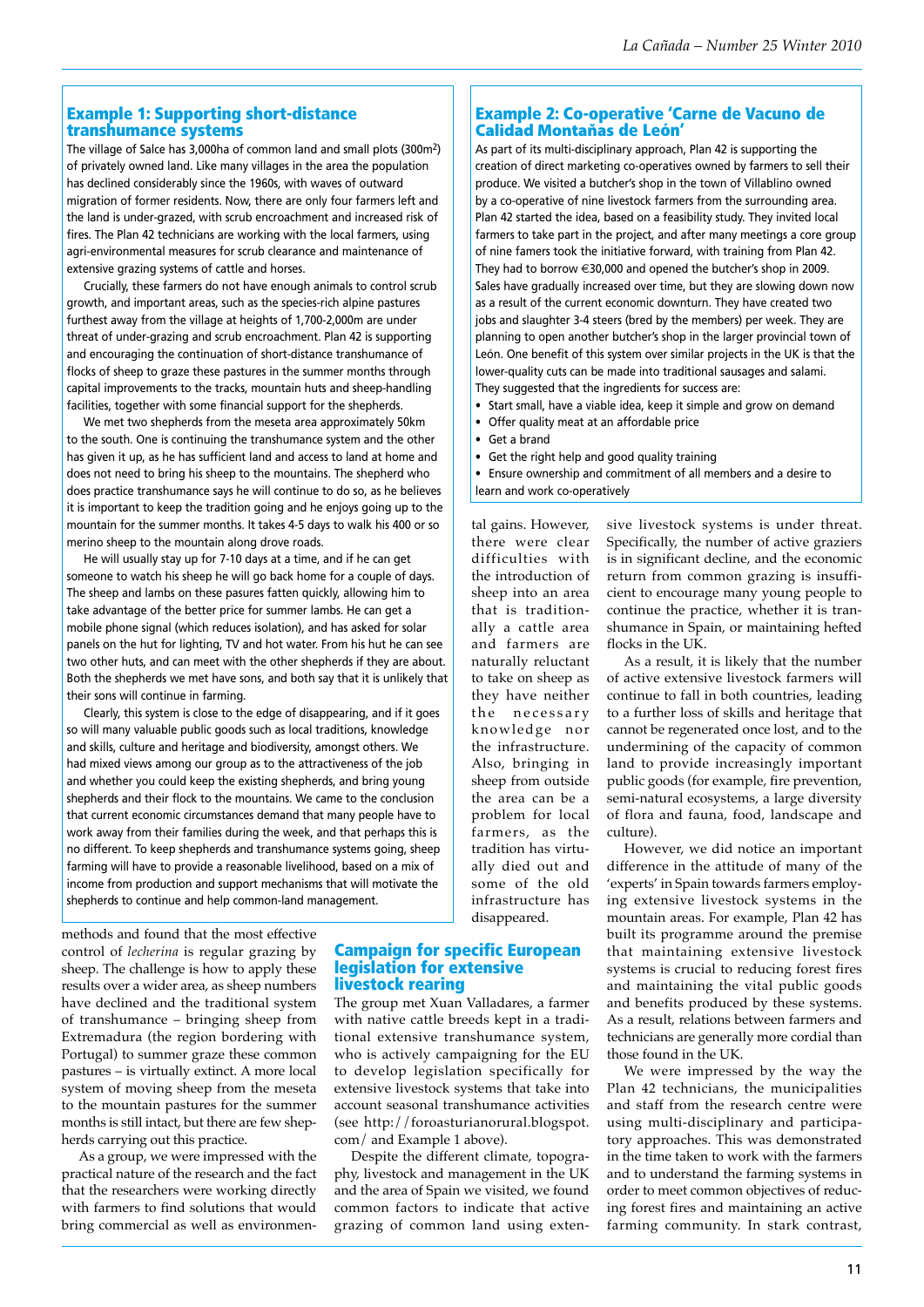## Example 1: Supporting short-distance transhumance systems

The village of Salce has 3,000ha of common land and small plots (300m2) of privately owned land. Like many villages in the area the population has declined considerably since the 1960s, with waves of outward migration of former residents. Now, there are only four farmers left and the land is under-grazed, with scrub encroachment and increased risk of fires. The Plan 42 technicians are working with the local farmers, using agri-environmental measures for scrub clearance and maintenance of extensive grazing systems of cattle and horses.

Crucially, these farmers do not have enough animals to control scrub growth, and important areas, such as the species-rich alpine pastures furthest away from the village at heights of 1,700-2,000m are under threat of under-grazing and scrub encroachment. Plan 42 is supporting and encouraging the continuation of short-distance transhumance of flocks of sheep to graze these pastures in the summer months through capital improvements to the tracks, mountain huts and sheep-handling facilities, together with some financial support for the shepherds.

We met two shepherds from the meseta area approximately 50km to the south. One is continuing the transhumance system and the other has given it up, as he has sufficient land and access to land at home and does not need to bring his sheep to the mountains. The shepherd who does practice transhumance says he will continue to do so, as he believes it is important to keep the tradition going and he enjoys going up to the mountain for the summer months. It takes 4-5 days to walk his 400 or so merino sheep to the mountain along drove roads.

He will usually stay up for 7-10 days at a time, and if he can get someone to watch his sheep he will go back home for a couple of days. The sheep and lambs on these pasures fatten quickly, allowing him to take advantage of the better price for summer lambs. He can get a mobile phone signal (which reduces isolation), and has asked for solar panels on the hut for lighting, TV and hot water. From his hut he can see two other huts, and can meet with the other shepherds if they are about. Both the shepherds we met have sons, and both say that it is unlikely that their sons will continue in farming.

Clearly, this system is close to the edge of disappearing, and if it goes so will many valuable public goods such as local traditions, knowledge and skills, culture and heritage and biodiversity, amongst others. We had mixed views among our group as to the attractiveness of the job and whether you could keep the existing shepherds, and bring young shepherds and their flock to the mountains. We came to the conclusion that current economic circumstances demand that many people have to work away from their families during the week, and that perhaps this is no different. To keep shepherds and transhumance systems going, sheep farming will have to provide a reasonable livelihood, based on a mix of income from production and support mechanisms that will motivate the shepherds to continue and help common-land management.

methods and found that the most effective control of *lecherina* is regular grazing by sheep. The challenge is how to apply these results over a wider area, as sheep numbers have declined and the traditional system of transhumance – bringing sheep from Extremadura (the region bordering with Portugal) to summer graze these common pastures – is virtually extinct. A more local system of moving sheep from the meseta to the mountain pastures for the summer months is still intact, but there are few shepherds carrying out this practice.

As a group, we were impressed with the practical nature of the research and the fact that the researchers were working directly with farmers to find solutions that would bring commercial as well as environmen-

## Example 2: Co-operative 'Carne de Vacuno de Calidad Montaňas de León'

As part of its multi-disciplinary approach, Plan 42 is supporting the creation of direct marketing co-operatives owned by farmers to sell their produce. We visited a butcher's shop in the town of Villablino owned by a co-operative of nine livestock farmers from the surrounding area. Plan 42 started the idea, based on a feasibility study. They invited local farmers to take part in the project, and after many meetings a core group of nine famers took the initiative forward, with training from Plan 42. They had to borrow  $\in$ 30,000 and opened the butcher's shop in 2009. Sales have gradually increased over time, but they are slowing down now as a result of the current economic downturn. They have created two jobs and slaughter 3-4 steers (bred by the members) per week. They are planning to open another butcher's shop in the larger provincial town of León. One benefit of this system over similar projects in the UK is that the lower-quality cuts can be made into traditional sausages and salami. They suggested that the ingredients for success are:

- Start small, have a viable idea, keep it simple and grow on demand
- • Offer quality meat at an affordable price
- • Get a brand
- • Get the right help and good quality training

• Ensure ownership and commitment of all members and a desire to learn and work co-operatively

tal gains. However, there were clear difficulties with the introduction of sheep into an area that is traditionally a cattle area and farmers are naturally reluctant to take on sheep as they have neither the necessary knowledge nor the infrastructure. Also, bringing in sheep from outside the area can be a problem for local farmers, as the tradition has virtually died out and some of the old infrastructure has disappeared.

Campaign for specific European

The group met Xuan Valladares, a farmer with native cattle breeds kept in a traditional extensive transhumance system, who is actively campaigning for the EU to develop legislation specifically for extensive livestock systems that take into account seasonal transhumance activities (see http://foroasturianorural.blogspot.

Despite the different climate, topography, livestock and management in the UK and the area of Spain we visited, we found common factors to indicate that active grazing of common land using exten-

legislation for extensive

com/ and Example 1 above).

livestock rearing

sive livestock systems is under threat. Specifically, the number of active graziers is in significant decline, and the economic return from common grazing is insufficient to encourage many young people to continue the practice, whether it is transhumance in Spain, or maintaining hefted flocks in the UK.

As a result, it is likely that the number of active extensive livestock farmers will continue to fall in both countries, leading to a further loss of skills and heritage that cannot be regenerated once lost, and to the undermining of the capacity of common land to provide increasingly important public goods (for example, fire prevention, semi-natural ecosystems, a large diversity of flora and fauna, food, landscape and culture).

However, we did notice an important difference in the attitude of many of the 'experts' in Spain towards farmers employing extensive livestock systems in the mountain areas. For example, Plan 42 has built its programme around the premise that maintaining extensive livestock systems is crucial to reducing forest fires and maintaining the vital public goods and benefits produced by these systems. As a result, relations between farmers and technicians are generally more cordial than those found in the UK.

We were impressed by the way the Plan 42 technicians, the municipalities and staff from the research centre were using multi-disciplinary and participatory approaches. This was demonstrated in the time taken to work with the farmers and to understand the farming systems in order to meet common objectives of reducing forest fires and maintaining an active farming community. In stark contrast,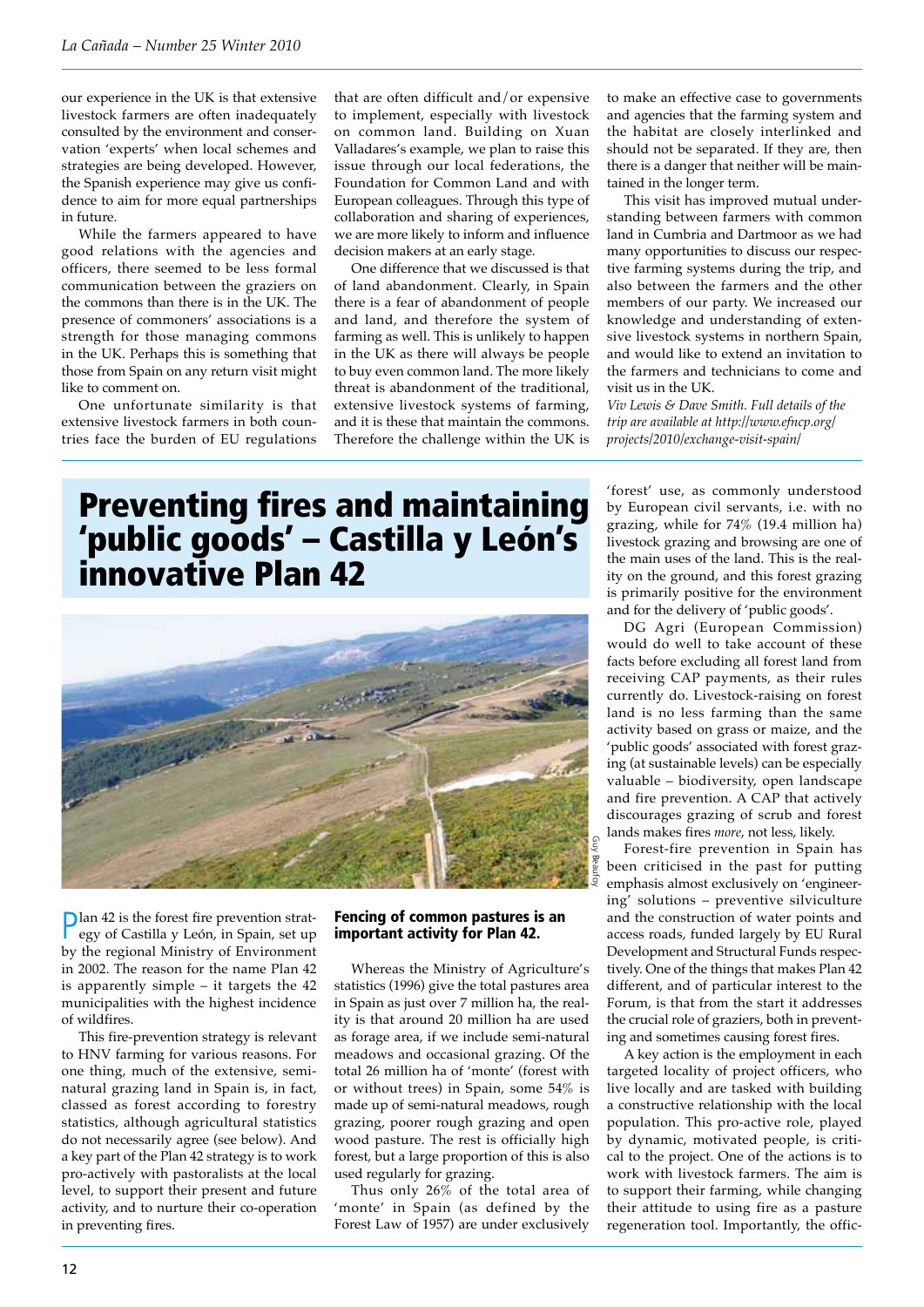our experience in the UK is that extensive livestock farmers are often inadequately consulted by the environment and conservation 'experts' when local schemes and strategies are being developed. However, the Spanish experience may give us confidence to aim for more equal partnerships in future.

While the farmers appeared to have good relations with the agencies and officers, there seemed to be less formal communication between the graziers on the commons than there is in the UK. The presence of commoners' associations is a strength for those managing commons in the UK. Perhaps this is something that those from Spain on any return visit might like to comment on.

One unfortunate similarity is that extensive livestock farmers in both countries face the burden of EU regulations

that are often difficult and/or expensive to implement, especially with livestock on common land. Building on Xuan Valladares's example, we plan to raise this issue through our local federations, the Foundation for Common Land and with European colleagues. Through this type of collaboration and sharing of experiences, we are more likely to inform and influence decision makers at an early stage.

One difference that we discussed is that of land abandonment. Clearly, in Spain there is a fear of abandonment of people and land, and therefore the system of farming as well. This is unlikely to happen in the UK as there will always be people to buy even common land. The more likely threat is abandonment of the traditional, extensive livestock systems of farming, and it is these that maintain the commons. Therefore the challenge within the UK is to make an effective case to governments and agencies that the farming system and the habitat are closely interlinked and should not be separated. If they are, then there is a danger that neither will be maintained in the longer term.

This visit has improved mutual understanding between farmers with common land in Cumbria and Dartmoor as we had many opportunities to discuss our respective farming systems during the trip, and also between the farmers and the other members of our party. We increased our knowledge and understanding of extensive livestock systems in northern Spain, and would like to extend an invitation to the farmers and technicians to come and visit us in the UK.

*Viv Lewis & Dave Smith. Full details of the trip are available at http://www.efncp.org/ projects/2010/exchange-visit-spain/*

# Preventing fires and maintaining 'public goods' – Castilla y León's innovative Plan 42



Plan 42 is the forest fire prevention strategy of Castilla y León, in Spain, set up by the regional Ministry of Environment in 2002. The reason for the name Plan 42 is apparently simple – it targets the 42 municipalities with the highest incidence of wildfires.

This fire-prevention strategy is relevant to HNV farming for various reasons. For one thing, much of the extensive, seminatural grazing land in Spain is, in fact, classed as forest according to forestry statistics, although agricultural statistics do not necessarily agree (see below). And a key part of the Plan 42 strategy is to work pro-actively with pastoralists at the local level, to support their present and future activity, and to nurture their co-operation in preventing fires.

### Fencing of common pastures is an important activity for Plan 42.

Whereas the Ministry of Agriculture's statistics (1996) give the total pastures area in Spain as just over 7 million ha, the reality is that around 20 million ha are used as forage area, if we include semi-natural meadows and occasional grazing. Of the total 26 million ha of 'monte' (forest with or without trees) in Spain, some 54% is made up of semi-natural meadows, rough grazing, poorer rough grazing and open wood pasture. The rest is officially high forest, but a large proportion of this is also used regularly for grazing.

Thus only 26% of the total area of 'monte' in Spain (as defined by the Forest Law of 1957) are under exclusively

'forest' use, as commonly understood by European civil servants, i.e. with no grazing, while for 74% (19.4 million ha) livestock grazing and browsing are one of the main uses of the land. This is the reality on the ground, and this forest grazing is primarily positive for the environment and for the delivery of 'public goods'.

DG Agri (European Commission) would do well to take account of these facts before excluding all forest land from receiving CAP payments, as their rules currently do. Livestock-raising on forest land is no less farming than the same activity based on grass or maize, and the 'public goods' associated with forest grazing (at sustainable levels) can be especially valuable – biodiversity, open landscape and fire prevention. A CAP that actively discourages grazing of scrub and forest lands makes fires *more*, not less, likely.

Forest-fire prevention in Spain has been criticised in the past for putting emphasis almost exclusively on 'engineering' solutions – preventive silviculture and the construction of water points and access roads, funded largely by EU Rural Development and Structural Funds respectively. One of the things that makes Plan 42 different, and of particular interest to the Forum, is that from the start it addresses the crucial role of graziers, both in preventing and sometimes causing forest fires.

A key action is the employment in each targeted locality of project officers, who live locally and are tasked with building a constructive relationship with the local population. This pro-active role, played by dynamic, motivated people, is critical to the project. One of the actions is to work with livestock farmers. The aim is to support their farming, while changing their attitude to using fire as a pasture regeneration tool. Importantly, the offic-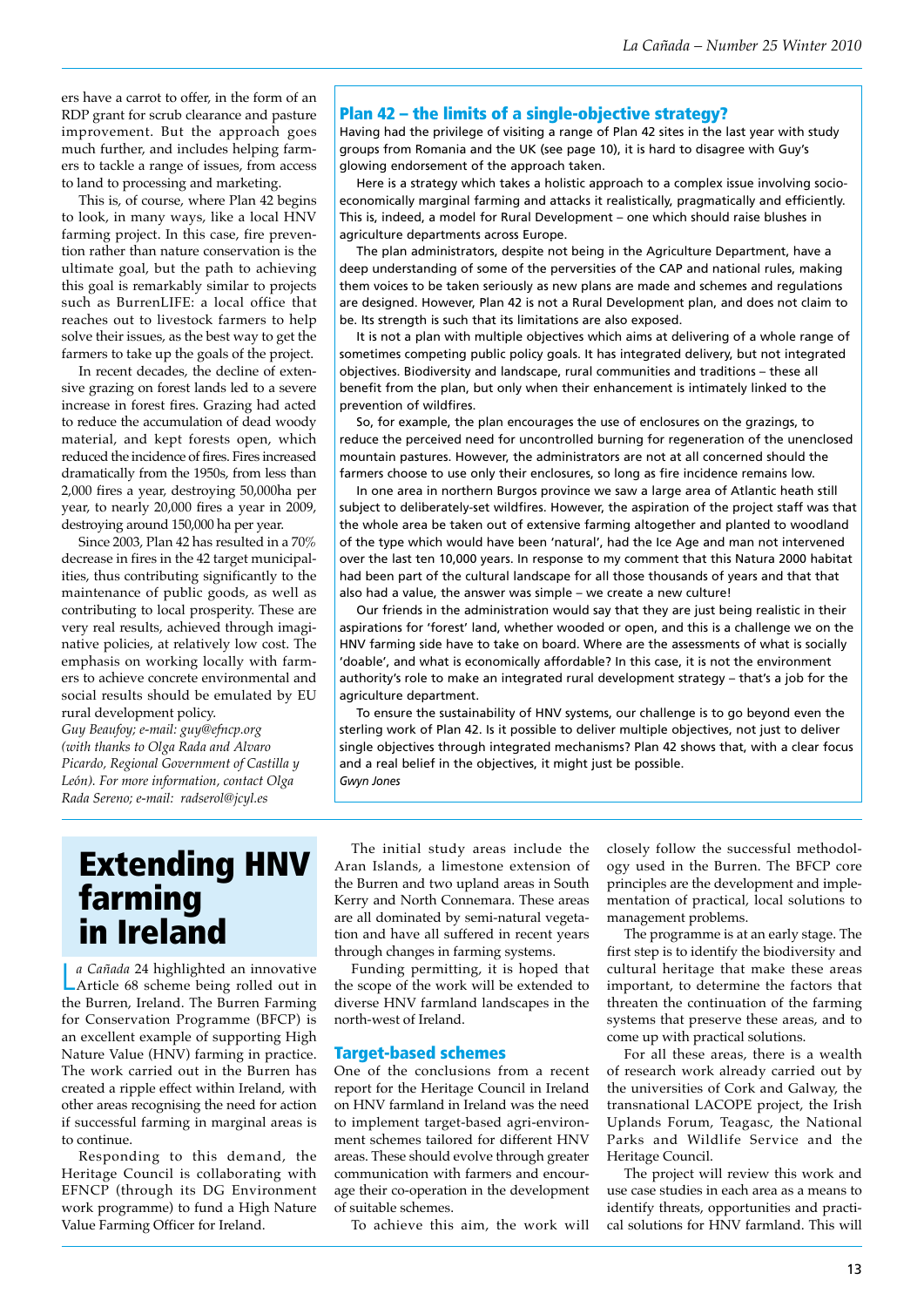ers have a carrot to offer, in the form of an RDP grant for scrub clearance and pasture improvement. But the approach goes much further, and includes helping farmers to tackle a range of issues, from access to land to processing and marketing.

This is, of course, where Plan 42 begins to look, in many ways, like a local HNV farming project. In this case, fire prevention rather than nature conservation is the ultimate goal, but the path to achieving this goal is remarkably similar to projects such as BurrenLIFE: a local office that reaches out to livestock farmers to help solve their issues, as the best way to get the farmers to take up the goals of the project.

In recent decades, the decline of extensive grazing on forest lands led to a severe increase in forest fires. Grazing had acted to reduce the accumulation of dead woody material, and kept forests open, which reduced the incidence of fires. Fires increased dramatically from the 1950s, from less than 2,000 fires a year, destroying 50,000ha per year, to nearly 20,000 fires a year in 2009, destroying around 150,000 ha per year.

Since 2003, Plan 42 has resulted in a 70% decrease in fires in the 42 target municipalities, thus contributing significantly to the maintenance of public goods, as well as contributing to local prosperity. These are very real results, achieved through imaginative policies, at relatively low cost. The emphasis on working locally with farmers to achieve concrete environmental and social results should be emulated by EU rural development policy.

*Guy Beaufoy; e-mail: guy@efncp.org (with thanks to Olga Rada and Alvaro Picardo, Regional Government of Castilla y León). For more information, contact Olga Rada Sereno; e-mail: radserol@jcyl.es*

## Plan 42 – the limits of a single-objective strategy?

Having had the privilege of visiting a range of Plan 42 sites in the last year with study groups from Romania and the UK (see page 10), it is hard to disagree with Guy's glowing endorsement of the approach taken.

Here is a strategy which takes a holistic approach to a complex issue involving socioeconomically marginal farming and attacks it realistically, pragmatically and efficiently. This is, indeed, a model for Rural Development – one which should raise blushes in agriculture departments across Europe.

The plan administrators, despite not being in the Agriculture Department, have a deep understanding of some of the perversities of the CAP and national rules, making them voices to be taken seriously as new plans are made and schemes and regulations are designed. However, Plan 42 is not a Rural Development plan, and does not claim to be. Its strength is such that its limitations are also exposed.

It is not a plan with multiple objectives which aims at delivering of a whole range of sometimes competing public policy goals. It has integrated delivery, but not integrated objectives. Biodiversity and landscape, rural communities and traditions – these all benefit from the plan, but only when their enhancement is intimately linked to the prevention of wildfires.

So, for example, the plan encourages the use of enclosures on the grazings, to reduce the perceived need for uncontrolled burning for regeneration of the unenclosed mountain pastures. However, the administrators are not at all concerned should the farmers choose to use only their enclosures, so long as fire incidence remains low.

In one area in northern Burgos province we saw a large area of Atlantic heath still subject to deliberately-set wildfires. However, the aspiration of the project staff was that the whole area be taken out of extensive farming altogether and planted to woodland of the type which would have been 'natural', had the Ice Age and man not intervened over the last ten 10,000 years. In response to my comment that this Natura 2000 habitat had been part of the cultural landscape for all those thousands of years and that that also had a value, the answer was simple – we create a new culture!

Our friends in the administration would say that they are just being realistic in their aspirations for 'forest' land, whether wooded or open, and this is a challenge we on the HNV farming side have to take on board. Where are the assessments of what is socially 'doable', and what is economically affordable? In this case, it is not the environment authority's role to make an integrated rural development strategy – that's a job for the agriculture department.

To ensure the sustainability of HNV systems, our challenge is to go beyond even the sterling work of Plan 42. Is it possible to deliver multiple objectives, not just to deliver single objectives through integrated mechanisms? Plan 42 shows that, with a clear focus and a real belief in the objectives, it might just be possible. *Gwyn Jones*

## Extending HNV farming in Ireland

L Article 68 scheme being rolled out in *a Cañada* 24 highlighted an innovative the Burren, Ireland. The Burren Farming for Conservation Programme (BFCP) is an excellent example of supporting High Nature Value (HNV) farming in practice. The work carried out in the Burren has created a ripple effect within Ireland, with other areas recognising the need for action if successful farming in marginal areas is to continue.

Responding to this demand, the Heritage Council is collaborating with EFNCP (through its DG Environment work programme) to fund a High Nature Value Farming Officer for Ireland.

The initial study areas include the Aran Islands, a limestone extension of the Burren and two upland areas in South Kerry and North Connemara. These areas are all dominated by semi-natural vegetation and have all suffered in recent years through changes in farming systems.

Funding permitting, it is hoped that the scope of the work will be extended to diverse HNV farmland landscapes in the north-west of Ireland.

#### Target-based schemes

One of the conclusions from a recent report for the Heritage Council in Ireland on HNV farmland in Ireland was the need to implement target-based agri-environment schemes tailored for different HNV areas. These should evolve through greater communication with farmers and encourage their co-operation in the development of suitable schemes.

To achieve this aim, the work will

closely follow the successful methodology used in the Burren. The BFCP core principles are the development and implementation of practical, local solutions to management problems.

The programme is at an early stage. The first step is to identify the biodiversity and cultural heritage that make these areas important, to determine the factors that threaten the continuation of the farming systems that preserve these areas, and to come up with practical solutions.

For all these areas, there is a wealth of research work already carried out by the universities of Cork and Galway, the transnational LACOPE project, the Irish Uplands Forum, Teagasc, the National Parks and Wildlife Service and the Heritage Council.

The project will review this work and use case studies in each area as a means to identify threats, opportunities and practical solutions for HNV farmland. This will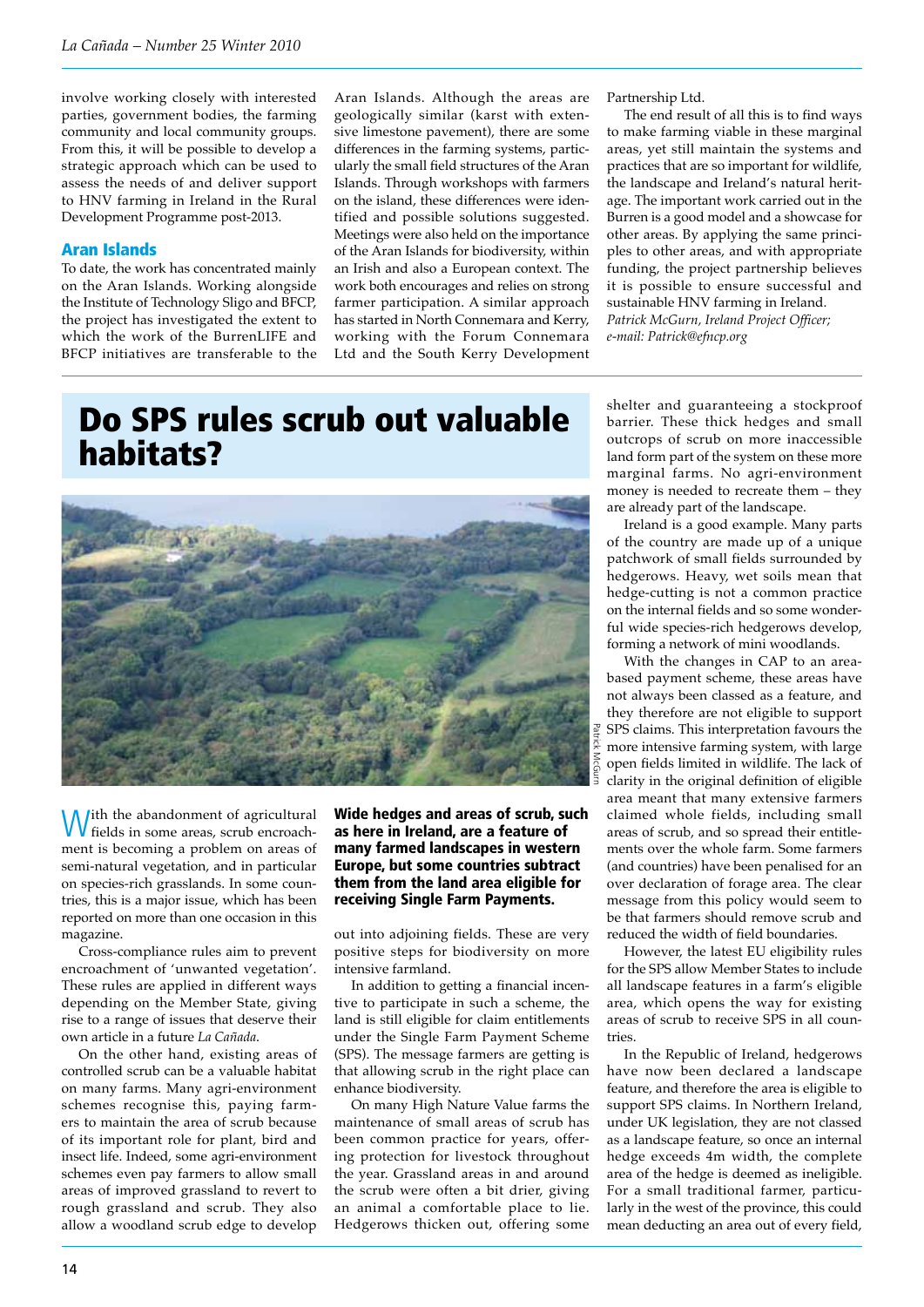involve working closely with interested parties, government bodies, the farming community and local community groups. From this, it will be possible to develop a strategic approach which can be used to assess the needs of and deliver support to HNV farming in Ireland in the Rural Development Programme post-2013.

### Aran Islands

To date, the work has concentrated mainly on the Aran Islands. Working alongside the Institute of Technology Sligo and BFCP, the project has investigated the extent to which the work of the BurrenLIFE and BFCP initiatives are transferable to the Aran Islands. Although the areas are geologically similar (karst with extensive limestone pavement), there are some differences in the farming systems, particularly the small field structures of the Aran Islands. Through workshops with farmers on the island, these differences were identified and possible solutions suggested. Meetings were also held on the importance of the Aran Islands for biodiversity, within an Irish and also a European context. The work both encourages and relies on strong farmer participation. A similar approach has started in North Connemara and Kerry, working with the Forum Connemara Ltd and the South Kerry Development

# Do SPS rules scrub out valuable habitats?



With the abandonment of agricultural fields in some areas, scrub encroachment is becoming a problem on areas of semi-natural vegetation, and in particular on species-rich grasslands. In some countries, this is a major issue, which has been reported on more than one occasion in this magazine.

Cross-compliance rules aim to prevent encroachment of 'unwanted vegetation'. These rules are applied in different ways depending on the Member State, giving rise to a range of issues that deserve their own article in a future *La Cañada*.

On the other hand, existing areas of controlled scrub can be a valuable habitat on many farms. Many agri-environment schemes recognise this, paying farmers to maintain the area of scrub because of its important role for plant, bird and insect life. Indeed, some agri-environment schemes even pay farmers to allow small areas of improved grassland to revert to rough grassland and scrub. They also allow a woodland scrub edge to develop

Wide hedges and areas of scrub, such as here in Ireland, are a feature of many farmed landscapes in western Europe, but some countries subtract them from the land area eligible for receiving Single Farm Payments.

out into adjoining fields. These are very positive steps for biodiversity on more intensive farmland.

In addition to getting a financial incentive to participate in such a scheme, the land is still eligible for claim entitlements under the Single Farm Payment Scheme (SPS). The message farmers are getting is that allowing scrub in the right place can enhance biodiversity.

On many High Nature Value farms the maintenance of small areas of scrub has been common practice for years, offering protection for livestock throughout the year. Grassland areas in and around the scrub were often a bit drier, giving an animal a comfortable place to lie. Hedgerows thicken out, offering some Partnership Ltd.

The end result of all this is to find ways to make farming viable in these marginal areas, yet still maintain the systems and practices that are so important for wildlife, the landscape and Ireland's natural heritage. The important work carried out in the Burren is a good model and a showcase for other areas. By applying the same principles to other areas, and with appropriate funding, the project partnership believes it is possible to ensure successful and sustainable HNV farming in Ireland. *Patrick McGurn, Ireland Project Officer; e-mail: Patrick@efncp.org*

shelter and guaranteeing a stockproof barrier. These thick hedges and small outcrops of scrub on more inaccessible land form part of the system on these more marginal farms. No agri-environment money is needed to recreate them – they are already part of the landscape.

Ireland is a good example. Many parts of the country are made up of a unique patchwork of small fields surrounded by hedgerows. Heavy, wet soils mean that hedge-cutting is not a common practice on the internal fields and so some wonderful wide species-rich hedgerows develop, forming a network of mini woodlands.

With the changes in CAP to an areabased payment scheme, these areas have not always been classed as a feature, and they therefore are not eligible to support SPS claims. This interpretation favours the more intensive farming system, with large open fields limited in wildlife. The lack of clarity in the original definition of eligible area meant that many extensive farmers claimed whole fields, including small areas of scrub, and so spread their entitlements over the whole farm. Some farmers (and countries) have been penalised for an over declaration of forage area. The clear message from this policy would seem to be that farmers should remove scrub and reduced the width of field boundaries.

However, the latest EU eligibility rules for the SPS allow Member States to include all landscape features in a farm's eligible area, which opens the way for existing areas of scrub to receive SPS in all countries.

In the Republic of Ireland, hedgerows have now been declared a landscape feature, and therefore the area is eligible to support SPS claims. In Northern Ireland, under UK legislation, they are not classed as a landscape feature, so once an internal hedge exceeds 4m width, the complete area of the hedge is deemed as ineligible. For a small traditional farmer, particularly in the west of the province, this could mean deducting an area out of every field,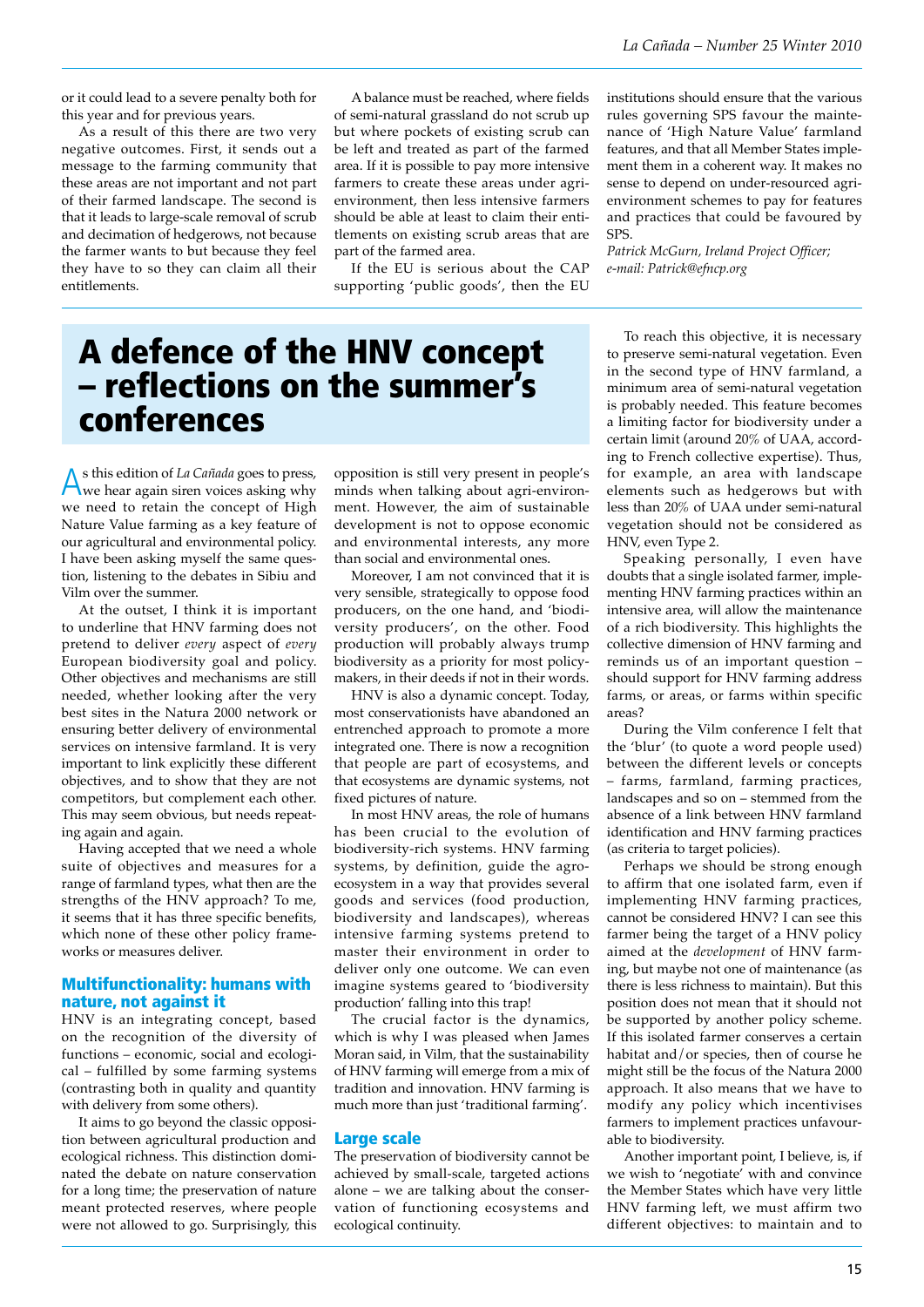or it could lead to a severe penalty both for this year and for previous years.

As a result of this there are two very negative outcomes. First, it sends out a message to the farming community that these areas are not important and not part of their farmed landscape. The second is that it leads to large-scale removal of scrub and decimation of hedgerows, not because the farmer wants to but because they feel they have to so they can claim all their entitlements.

A balance must be reached, where fields of semi-natural grassland do not scrub up but where pockets of existing scrub can be left and treated as part of the farmed area. If it is possible to pay more intensive farmers to create these areas under agrienvironment, then less intensive farmers should be able at least to claim their entitlements on existing scrub areas that are part of the farmed area.

If the EU is serious about the CAP supporting 'public goods', then the EU institutions should ensure that the various rules governing SPS favour the maintenance of 'High Nature Value' farmland features, and that all Member States implement them in a coherent way. It makes no sense to depend on under-resourced agrienvironment schemes to pay for features and practices that could be favoured by SPS

*Patrick McGurn, Ireland Project Officer; e-mail: Patrick@efncp.org*

# A defence of the HNV concept – reflections on the summer's conferences

As this edition of *La Cañada* goes to press, we hear again siren voices asking why we need to retain the concept of High Nature Value farming as a key feature of our agricultural and environmental policy. I have been asking myself the same question, listening to the debates in Sibiu and Vilm over the summer.

At the outset, I think it is important to underline that HNV farming does not pretend to deliver *every* aspect of *every* European biodiversity goal and policy. Other objectives and mechanisms are still needed, whether looking after the very best sites in the Natura 2000 network or ensuring better delivery of environmental services on intensive farmland. It is very important to link explicitly these different objectives, and to show that they are not competitors, but complement each other. This may seem obvious, but needs repeating again and again.

Having accepted that we need a whole suite of objectives and measures for a range of farmland types, what then are the strengths of the HNV approach? To me, it seems that it has three specific benefits, which none of these other policy frameworks or measures deliver.

### Multifunctionality: humans with nature, not against it

HNV is an integrating concept, based on the recognition of the diversity of functions – economic, social and ecological – fulfilled by some farming systems (contrasting both in quality and quantity with delivery from some others).

It aims to go beyond the classic opposition between agricultural production and ecological richness. This distinction dominated the debate on nature conservation for a long time; the preservation of nature meant protected reserves, where people were not allowed to go. Surprisingly, this

opposition is still very present in people's minds when talking about agri-environment. However, the aim of sustainable development is not to oppose economic and environmental interests, any more than social and environmental ones.

Moreover, I am not convinced that it is very sensible, strategically to oppose food producers, on the one hand, and 'biodiversity producers', on the other. Food production will probably always trump biodiversity as a priority for most policymakers, in their deeds if not in their words.

HNV is also a dynamic concept. Today, most conservationists have abandoned an entrenched approach to promote a more integrated one. There is now a recognition that people are part of ecosystems, and that ecosystems are dynamic systems, not fixed pictures of nature.

In most HNV areas, the role of humans has been crucial to the evolution of biodiversity-rich systems. HNV farming systems, by definition, guide the agroecosystem in a way that provides several goods and services (food production, biodiversity and landscapes), whereas intensive farming systems pretend to master their environment in order to deliver only one outcome. We can even imagine systems geared to 'biodiversity production' falling into this trap!

The crucial factor is the dynamics, which is why I was pleased when James Moran said, in Vilm, that the sustainability of HNV farming will emerge from a mix of tradition and innovation. HNV farming is much more than just 'traditional farming'.

#### Large scale

The preservation of biodiversity cannot be achieved by small-scale, targeted actions alone – we are talking about the conservation of functioning ecosystems and ecological continuity.

To reach this objective, it is necessary to preserve semi-natural vegetation. Even in the second type of HNV farmland, a minimum area of semi-natural vegetation is probably needed. This feature becomes a limiting factor for biodiversity under a certain limit (around 20% of UAA, according to French collective expertise). Thus, for example, an area with landscape elements such as hedgerows but with less than 20% of UAA under semi-natural vegetation should not be considered as HNV, even Type 2.

Speaking personally, I even have doubts that a single isolated farmer, implementing HNV farming practices within an intensive area, will allow the maintenance of a rich biodiversity. This highlights the collective dimension of HNV farming and reminds us of an important question – should support for HNV farming address farms, or areas, or farms within specific areas?

During the Vilm conference I felt that the 'blur' (to quote a word people used) between the different levels or concepts – farms, farmland, farming practices, landscapes and so on – stemmed from the absence of a link between HNV farmland identification and HNV farming practices (as criteria to target policies).

Perhaps we should be strong enough to affirm that one isolated farm, even if implementing HNV farming practices, cannot be considered HNV? I can see this farmer being the target of a HNV policy aimed at the *development* of HNV farming, but maybe not one of maintenance (as there is less richness to maintain). But this position does not mean that it should not be supported by another policy scheme. If this isolated farmer conserves a certain habitat and/or species, then of course he might still be the focus of the Natura 2000 approach. It also means that we have to modify any policy which incentivises farmers to implement practices unfavourable to biodiversity.

Another important point, I believe, is, if we wish to 'negotiate' with and convince the Member States which have very little HNV farming left, we must affirm two different objectives: to maintain and to